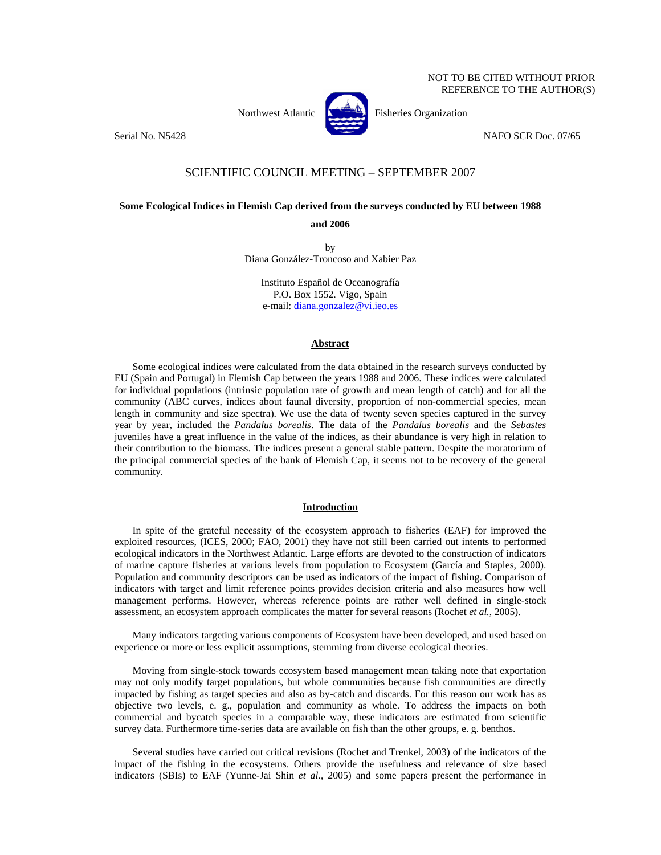

Northwest Atlantic **No. 2008** Fisheries Organization

Serial No. N5428 NAFO SCR Doc. 07/65

## SCIENTIFIC COUNCIL MEETING – SEPTEMBER 2007

## **Some Ecological Indices in Flemish Cap derived from the surveys conducted by EU between 1988**

**and 2006** 

by Diana González-Troncoso and Xabier Paz

Instituto Español de Oceanografía P.O. Box 1552. Vigo, Spain e-mail: diana.gonzalez@vi.ieo.es

## **Abstract**

Some ecological indices were calculated from the data obtained in the research surveys conducted by EU (Spain and Portugal) in Flemish Cap between the years 1988 and 2006. These indices were calculated for individual populations (intrinsic population rate of growth and mean length of catch) and for all the community (ABC curves, indices about faunal diversity, proportion of non-commercial species, mean length in community and size spectra). We use the data of twenty seven species captured in the survey year by year, included the *Pandalus borealis*. The data of the *Pandalus borealis* and the *Sebastes* juveniles have a great influence in the value of the indices, as their abundance is very high in relation to their contribution to the biomass. The indices present a general stable pattern. Despite the moratorium of the principal commercial species of the bank of Flemish Cap, it seems not to be recovery of the general community.

## **Introduction**

In spite of the grateful necessity of the ecosystem approach to fisheries (EAF) for improved the exploited resources, (ICES, 2000; FAO, 2001) they have not still been carried out intents to performed ecological indicators in the Northwest Atlantic. Large efforts are devoted to the construction of indicators of marine capture fisheries at various levels from population to Ecosystem (García and Staples, 2000). Population and community descriptors can be used as indicators of the impact of fishing. Comparison of indicators with target and limit reference points provides decision criteria and also measures how well management performs. However, whereas reference points are rather well defined in single-stock assessment, an ecosystem approach complicates the matter for several reasons (Rochet *et al.*, 2005).

Many indicators targeting various components of Ecosystem have been developed, and used based on experience or more or less explicit assumptions, stemming from diverse ecological theories.

Moving from single-stock towards ecosystem based management mean taking note that exportation may not only modify target populations, but whole communities because fish communities are directly impacted by fishing as target species and also as by-catch and discards. For this reason our work has as objective two levels, e. g., population and community as whole. To address the impacts on both commercial and bycatch species in a comparable way, these indicators are estimated from scientific survey data. Furthermore time-series data are available on fish than the other groups, e. g. benthos.

Several studies have carried out critical revisions (Rochet and Trenkel, 2003) of the indicators of the impact of the fishing in the ecosystems. Others provide the usefulness and relevance of size based indicators (SBIs) to EAF (Yunne-Jai Shin *et al.*, 2005) and some papers present the performance in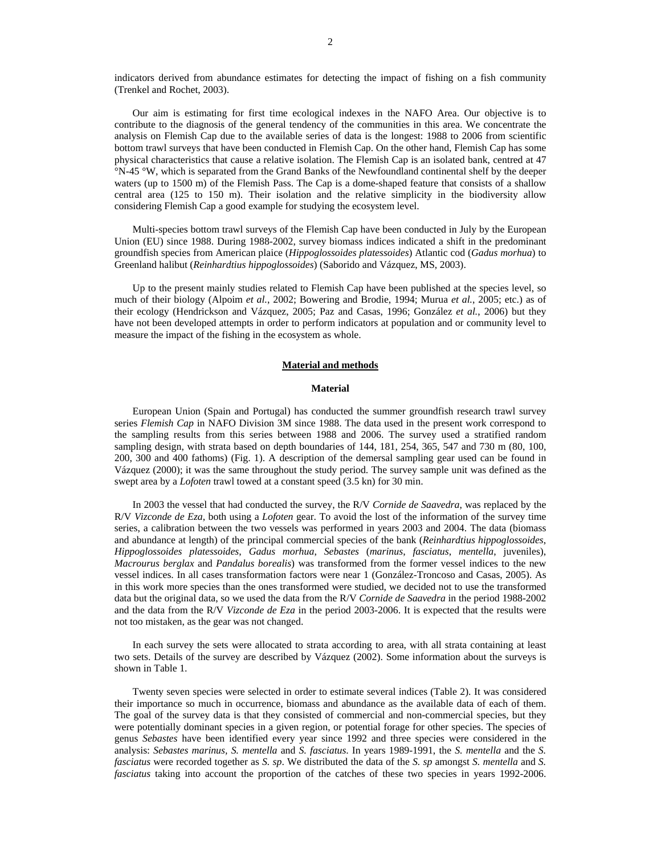indicators derived from abundance estimates for detecting the impact of fishing on a fish community (Trenkel and Rochet, 2003).

Our aim is estimating for first time ecological indexes in the NAFO Area. Our objective is to contribute to the diagnosis of the general tendency of the communities in this area. We concentrate the analysis on Flemish Cap due to the available series of data is the longest: 1988 to 2006 from scientific bottom trawl surveys that have been conducted in Flemish Cap. On the other hand, Flemish Cap has some physical characteristics that cause a relative isolation. The Flemish Cap is an isolated bank, centred at 47 °N-45 °W, which is separated from the Grand Banks of the Newfoundland continental shelf by the deeper waters (up to 1500 m) of the Flemish Pass. The Cap is a dome-shaped feature that consists of a shallow central area (125 to 150 m). Their isolation and the relative simplicity in the biodiversity allow considering Flemish Cap a good example for studying the ecosystem level.

Multi-species bottom trawl surveys of the Flemish Cap have been conducted in July by the European Union (EU) since 1988. During 1988-2002, survey biomass indices indicated a shift in the predominant groundfish species from American plaice (*Hippoglossoides platessoides*) Atlantic cod (*Gadus morhua*) to Greenland halibut (*Reinhardtius hippoglossoides*) (Saborido and Vázquez, MS, 2003).

Up to the present mainly studies related to Flemish Cap have been published at the species level, so much of their biology (Alpoim *et al.*, 2002; Bowering and Brodie, 1994; Murua *et al.*, 2005; etc.) as of their ecology (Hendrickson and Vázquez, 2005; Paz and Casas, 1996; González *et al.*, 2006) but they have not been developed attempts in order to perform indicators at population and or community level to measure the impact of the fishing in the ecosystem as whole.

## **Material and methods**

#### **Material**

European Union (Spain and Portugal) has conducted the summer groundfish research trawl survey series *Flemish Cap* in NAFO Division 3M since 1988. The data used in the present work correspond to the sampling results from this series between 1988 and 2006. The survey used a stratified random sampling design, with strata based on depth boundaries of 144, 181, 254, 365, 547 and 730 m (80, 100, 200, 300 and 400 fathoms) (Fig. 1). A description of the demersal sampling gear used can be found in Vázquez (2000); it was the same throughout the study period. The survey sample unit was defined as the swept area by a *Lofoten* trawl towed at a constant speed (3.5 kn) for 30 min.

In 2003 the vessel that had conducted the survey, the R/V *Cornide de Saavedra*, was replaced by the R/V *Vizconde de Eza*, both using a *Lofoten* gear. To avoid the lost of the information of the survey time series, a calibration between the two vessels was performed in years 2003 and 2004. The data (biomass and abundance at length) of the principal commercial species of the bank (*Reinhardtius hippoglossoides*, *Hippoglossoides platessoides*, *Gadus morhua*, *Sebastes* (*marinus*, *fasciatus*, *mentella*, juveniles), *Macrourus berglax* and *Pandalus borealis*) was transformed from the former vessel indices to the new vessel indices. In all cases transformation factors were near 1 (González-Troncoso and Casas, 2005). As in this work more species than the ones transformed were studied, we decided not to use the transformed data but the original data, so we used the data from the R/V *Cornide de Saavedra* in the period 1988-2002 and the data from the R/V *Vizconde de Eza* in the period 2003-2006. It is expected that the results were not too mistaken, as the gear was not changed.

In each survey the sets were allocated to strata according to area, with all strata containing at least two sets. Details of the survey are described by Vázquez (2002). Some information about the surveys is shown in Table 1.

Twenty seven species were selected in order to estimate several indices (Table 2). It was considered their importance so much in occurrence, biomass and abundance as the available data of each of them. The goal of the survey data is that they consisted of commercial and non-commercial species, but they were potentially dominant species in a given region, or potential forage for other species. The species of genus *Sebastes* have been identified every year since 1992 and three species were considered in the analysis: *Sebastes marinus, S. mentella* and *S. fasciatus*. In years 1989-1991, the *S. mentella* and the *S. fasciatus* were recorded together as *S. sp*. We distributed the data of the *S. sp* amongst *S. mentella* and *S. fasciatus* taking into account the proportion of the catches of these two species in years 1992-2006.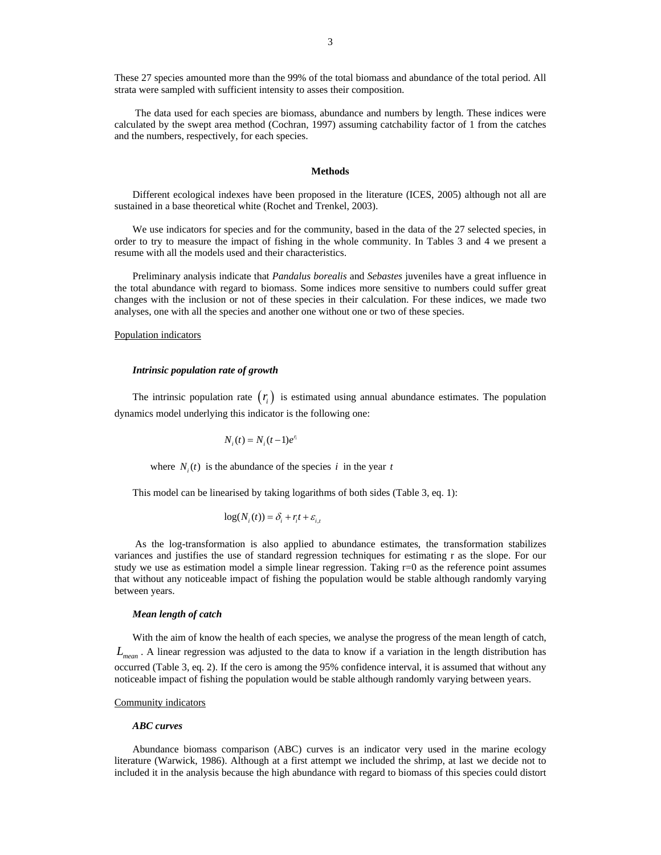These 27 species amounted more than the 99% of the total biomass and abundance of the total period. All strata were sampled with sufficient intensity to asses their composition.

 The data used for each species are biomass, abundance and numbers by length. These indices were calculated by the swept area method (Cochran, 1997) assuming catchability factor of 1 from the catches and the numbers, respectively, for each species.

### **Methods**

Different ecological indexes have been proposed in the literature (ICES, 2005) although not all are sustained in a base theoretical white (Rochet and Trenkel, 2003).

We use indicators for species and for the community, based in the data of the 27 selected species, in order to try to measure the impact of fishing in the whole community. In Tables 3 and 4 we present a resume with all the models used and their characteristics.

Preliminary analysis indicate that *Pandalus borealis* and *Sebastes* juveniles have a great influence in the total abundance with regard to biomass. Some indices more sensitive to numbers could suffer great changes with the inclusion or not of these species in their calculation. For these indices, we made two analyses, one with all the species and another one without one or two of these species.

#### Population indicators

#### *Intrinsic population rate of growth*

The intrinsic population rate  $(r<sub>i</sub>)$  is estimated using annual abundance estimates. The population dynamics model underlying this indicator is the following one:

$$
N_i(t) = N_i(t-1)e^{r_i}
$$

where  $N_i(t)$  is the abundance of the species *i* in the year *t* 

This model can be linearised by taking logarithms of both sides (Table 3, eq. 1):

$$
\log(N_i(t)) = \delta_i + r_i t + \varepsilon_{i,t}
$$

 As the log-transformation is also applied to abundance estimates, the transformation stabilizes variances and justifies the use of standard regression techniques for estimating r as the slope. For our study we use as estimation model a simple linear regression. Taking  $r=0$  as the reference point assumes that without any noticeable impact of fishing the population would be stable although randomly varying between years.

#### *Mean length of catch*

With the aim of know the health of each species, we analyse the progress of the mean length of catch, *Lmean* . A linear regression was adjusted to the data to know if a variation in the length distribution has occurred (Table 3, eq. 2). If the cero is among the 95% confidence interval, it is assumed that without any noticeable impact of fishing the population would be stable although randomly varying between years.

#### Community indicators

#### *ABC curves*

Abundance biomass comparison (ABC) curves is an indicator very used in the marine ecology literature (Warwick, 1986). Although at a first attempt we included the shrimp, at last we decide not to included it in the analysis because the high abundance with regard to biomass of this species could distort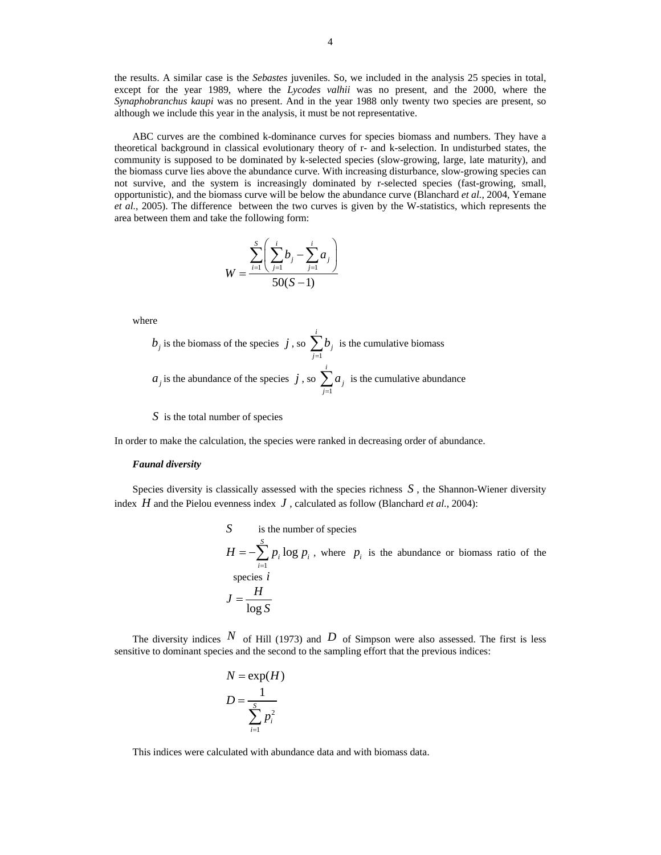the results. A similar case is the *Sebastes* juveniles. So, we included in the analysis 25 species in total, except for the year 1989, where the *Lycodes valhii* was no present, and the 2000, where the *Synaphobranchus kaupi* was no present. And in the year 1988 only twenty two species are present, so although we include this year in the analysis, it must be not representative.

ABC curves are the combined k-dominance curves for species biomass and numbers. They have a theoretical background in classical evolutionary theory of r- and k-selection. In undisturbed states, the community is supposed to be dominated by k-selected species (slow-growing, large, late maturity), and the biomass curve lies above the abundance curve. With increasing disturbance, slow-growing species can not survive, and the system is increasingly dominated by r-selected species (fast-growing, small, opportunistic), and the biomass curve will be below the abundance curve (Blanchard *et al.*, 2004, Yemane *et al.*, 2005). The difference between the two curves is given by the W-statistics, which represents the area between them and take the following form:

$$
W = \frac{\sum_{i=1}^{S} \left( \sum_{j=1}^{i} b_j - \sum_{j=1}^{i} a_j \right)}{50(S-1)}
$$

where

 $b_j$  is the biomass of the species  $j$ , so  $\sum_{j=1}^{\infty}$ *i*  $\sum_{j=1}^{\nu}$ *b*  $\sum_{j=1}^{n} b_j$  is the cumulative biomass  $a_j$  is the abundance of the species  $j$ , so  $\sum_{j=1}$ *i*  $\sum_{j=1}^{\mathbf{U}} a_j$ *a*  $\sum_{j=1} a_j$  is the cumulative abundance

## *S* is the total number of species

In order to make the calculation, the species were ranked in decreasing order of abundance.

## *Faunal diversity*

Species diversity is classically assessed with the species richness *S* , the Shannon-Wiener diversity index *H* and the Pielou evenness index *J* , calculated as follow (Blanchard *et al*., 2004):

S is the number of species  
\n
$$
H = -\sum_{i=1}^{S} p_i \log p_i
$$
, where  $p_i$  is the abundance or biomass ratio of the species *i*  
\n
$$
J = \frac{H}{\log S}
$$

The diversity indices  $N$  of Hill (1973) and  $D$  of Simpson were also assessed. The first is less sensitive to dominant species and the second to the sampling effort that the previous indices:

$$
N = \exp(H)
$$

$$
D = \frac{1}{\sum_{i=1}^{S} p_i^2}
$$

This indices were calculated with abundance data and with biomass data.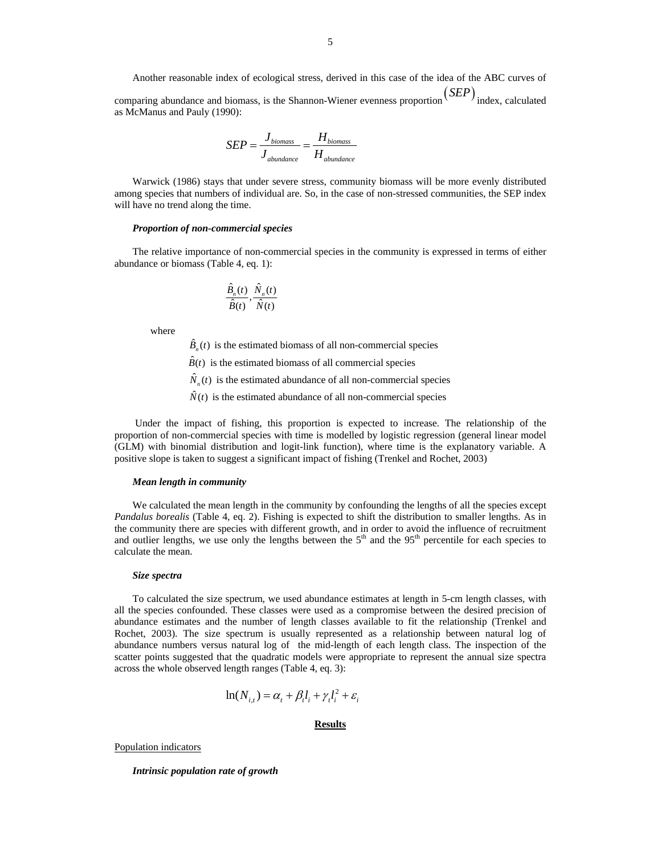as McManus and Pauly (1990):

$$
SEP = \frac{J_{biomass}}{J_{abundance}} = \frac{H_{biomass}}{H_{abundance}}
$$

Warwick (1986) stays that under severe stress, community biomass will be more evenly distributed among species that numbers of individual are. So, in the case of non-stressed communities, the SEP index will have no trend along the time.

#### *Proportion of non-commercial species*

The relative importance of non-commercial species in the community is expressed in terms of either abundance or biomass (Table 4, eq. 1):

$$
\frac{\hat{B}_n(t)}{\hat{B}(t)}, \frac{\hat{N}_n(t)}{\hat{N}(t)}
$$

where

 $\hat{B}_n(t)$  is the estimated biomass of all non-commercial species

 $\hat{B}(t)$  is the estimated biomass of all commercial species

 $\hat{N}_n(t)$  is the estimated abundance of all non-commercial species

 $\hat{N}(t)$  is the estimated abundance of all non-commercial species

 Under the impact of fishing, this proportion is expected to increase. The relationship of the proportion of non-commercial species with time is modelled by logistic regression (general linear model (GLM) with binomial distribution and logit-link function), where time is the explanatory variable. A positive slope is taken to suggest a significant impact of fishing (Trenkel and Rochet, 2003)

## *Mean length in community*

We calculated the mean length in the community by confounding the lengths of all the species except *Pandalus borealis* (Table 4, eq. 2). Fishing is expected to shift the distribution to smaller lengths. As in the community there are species with different growth, and in order to avoid the influence of recruitment and outlier lengths, we use only the lengths between the  $5<sup>th</sup>$  and the  $95<sup>th</sup>$  percentile for each species to calculate the mean.

#### *Size spectra*

To calculated the size spectrum, we used abundance estimates at length in 5-cm length classes, with all the species confounded. These classes were used as a compromise between the desired precision of abundance estimates and the number of length classes available to fit the relationship (Trenkel and Rochet, 2003). The size spectrum is usually represented as a relationship between natural log of abundance numbers versus natural log of the mid-length of each length class. The inspection of the scatter points suggested that the quadratic models were appropriate to represent the annual size spectra across the whole observed length ranges (Table 4, eq. 3):

$$
\ln(N_{i,t}) = \alpha_t + \beta_t l_i + \gamma_t l_i^2 + \varepsilon_i
$$

## **Results**

Population indicators

*Intrinsic population rate of growth*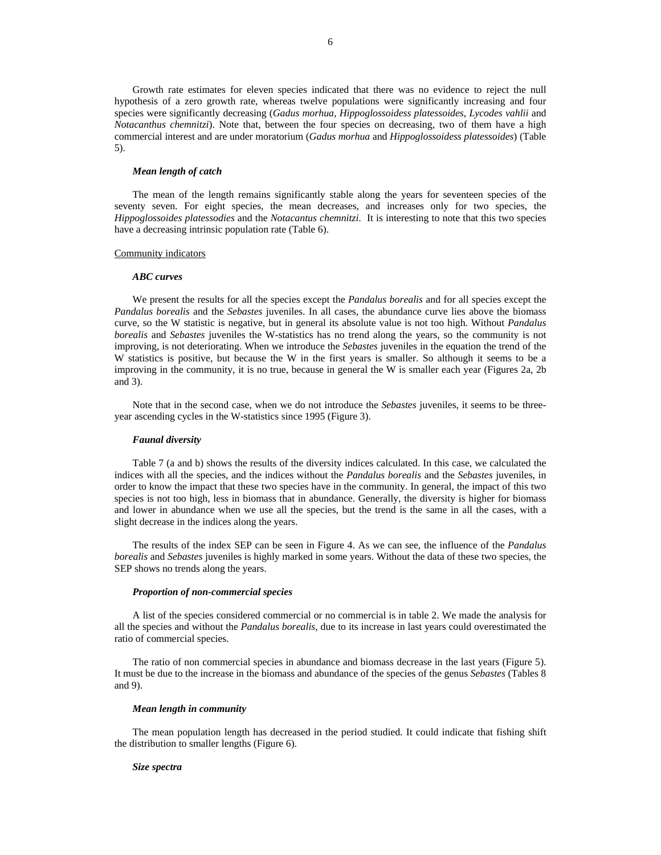Growth rate estimates for eleven species indicated that there was no evidence to reject the null hypothesis of a zero growth rate, whereas twelve populations were significantly increasing and four species were significantly decreasing (*Gadus morhua*, *Hippoglossoidess platessoides*, *Lycodes vahlii* and *Notacanthus chemnitzi*). Note that, between the four species on decreasing, two of them have a high commercial interest and are under moratorium (*Gadus morhua* and *Hippoglossoidess platessoides*) (Table 5).

## *Mean length of catch*

The mean of the length remains significantly stable along the years for seventeen species of the seventy seven. For eight species, the mean decreases, and increases only for two species, the *Hippoglossoides platessodies* and the *Notacantus chemnitzi*. It is interesting to note that this two species have a decreasing intrinsic population rate (Table 6).

#### Community indicators

#### *ABC curves*

We present the results for all the species except the *Pandalus borealis* and for all species except the *Pandalus borealis* and the *Sebastes* juveniles. In all cases, the abundance curve lies above the biomass curve, so the W statistic is negative, but in general its absolute value is not too high. Without *Pandalus borealis* and *Sebastes* juveniles the W-statistics has no trend along the years, so the community is not improving, is not deteriorating. When we introduce the *Sebastes* juveniles in the equation the trend of the W statistics is positive, but because the W in the first years is smaller. So although it seems to be a improving in the community, it is no true, because in general the W is smaller each year (Figures 2a, 2b and 3).

Note that in the second case, when we do not introduce the *Sebastes* juveniles, it seems to be threeyear ascending cycles in the W-statistics since 1995 (Figure 3).

## *Faunal diversity*

Table 7 (a and b) shows the results of the diversity indices calculated. In this case, we calculated the indices with all the species, and the indices without the *Pandalus borealis* and the *Sebastes* juveniles, in order to know the impact that these two species have in the community. In general, the impact of this two species is not too high, less in biomass that in abundance. Generally, the diversity is higher for biomass and lower in abundance when we use all the species, but the trend is the same in all the cases, with a slight decrease in the indices along the years.

The results of the index SEP can be seen in Figure 4. As we can see, the influence of the *Pandalus borealis* and *Sebastes* juveniles is highly marked in some years. Without the data of these two species, the SEP shows no trends along the years.

#### *Proportion of non-commercial species*

A list of the species considered commercial or no commercial is in table 2. We made the analysis for all the species and without the *Pandalus borealis*, due to its increase in last years could overestimated the ratio of commercial species.

The ratio of non commercial species in abundance and biomass decrease in the last years (Figure 5). It must be due to the increase in the biomass and abundance of the species of the genus *Sebastes* (Tables 8 and 9).

#### *Mean length in community*

The mean population length has decreased in the period studied. It could indicate that fishing shift the distribution to smaller lengths (Figure 6).

## *Size spectra*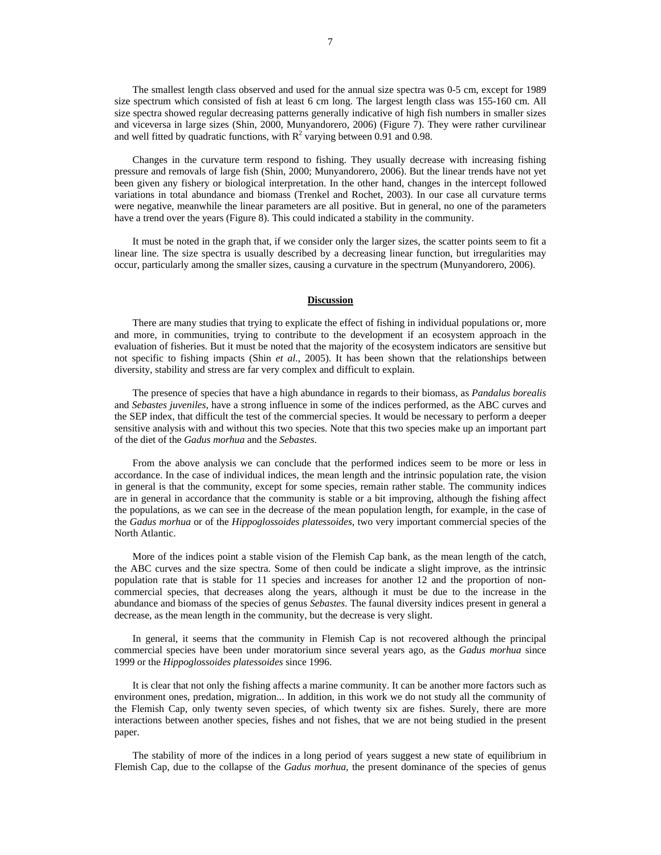The smallest length class observed and used for the annual size spectra was 0-5 cm, except for 1989 size spectrum which consisted of fish at least 6 cm long. The largest length class was 155-160 cm. All size spectra showed regular decreasing patterns generally indicative of high fish numbers in smaller sizes and viceversa in large sizes (Shin, 2000, Munyandorero, 2006) (Figure 7). They were rather curvilinear and well fitted by quadratic functions, with  $R^2$  varying between 0.91 and 0.98.

Changes in the curvature term respond to fishing. They usually decrease with increasing fishing pressure and removals of large fish (Shin, 2000; Munyandorero, 2006). But the linear trends have not yet been given any fishery or biological interpretation. In the other hand, changes in the intercept followed variations in total abundance and biomass (Trenkel and Rochet, 2003). In our case all curvature terms were negative, meanwhile the linear parameters are all positive. But in general, no one of the parameters have a trend over the years (Figure 8). This could indicated a stability in the community.

It must be noted in the graph that, if we consider only the larger sizes, the scatter points seem to fit a linear line. The size spectra is usually described by a decreasing linear function, but irregularities may occur, particularly among the smaller sizes, causing a curvature in the spectrum (Munyandorero, 2006).

## **Discussion**

There are many studies that trying to explicate the effect of fishing in individual populations or, more and more, in communities, trying to contribute to the development if an ecosystem approach in the evaluation of fisheries. But it must be noted that the majority of the ecosystem indicators are sensitive but not specific to fishing impacts (Shin *et al.*, 2005). It has been shown that the relationships between diversity, stability and stress are far very complex and difficult to explain.

The presence of species that have a high abundance in regards to their biomass, as *Pandalus borealis* and *Sebastes juveniles*, have a strong influence in some of the indices performed, as the ABC curves and the SEP index, that difficult the test of the commercial species. It would be necessary to perform a deeper sensitive analysis with and without this two species. Note that this two species make up an important part of the diet of the *Gadus morhua* and the *Sebastes*.

From the above analysis we can conclude that the performed indices seem to be more or less in accordance. In the case of individual indices, the mean length and the intrinsic population rate, the vision in general is that the community, except for some species, remain rather stable. The community indices are in general in accordance that the community is stable or a bit improving, although the fishing affect the populations, as we can see in the decrease of the mean population length, for example, in the case of the *Gadus morhua* or of the *Hippoglossoides platessoides*, two very important commercial species of the North Atlantic.

More of the indices point a stable vision of the Flemish Cap bank, as the mean length of the catch, the ABC curves and the size spectra. Some of then could be indicate a slight improve, as the intrinsic population rate that is stable for 11 species and increases for another 12 and the proportion of noncommercial species, that decreases along the years, although it must be due to the increase in the abundance and biomass of the species of genus *Sebastes*. The faunal diversity indices present in general a decrease, as the mean length in the community, but the decrease is very slight.

In general, it seems that the community in Flemish Cap is not recovered although the principal commercial species have been under moratorium since several years ago, as the *Gadus morhua* since 1999 or the *Hippoglossoides platessoides* since 1996.

It is clear that not only the fishing affects a marine community. It can be another more factors such as environment ones, predation, migration... In addition, in this work we do not study all the community of the Flemish Cap, only twenty seven species, of which twenty six are fishes. Surely, there are more interactions between another species, fishes and not fishes, that we are not being studied in the present paper.

The stability of more of the indices in a long period of years suggest a new state of equilibrium in Flemish Cap, due to the collapse of the *Gadus morhua*, the present dominance of the species of genus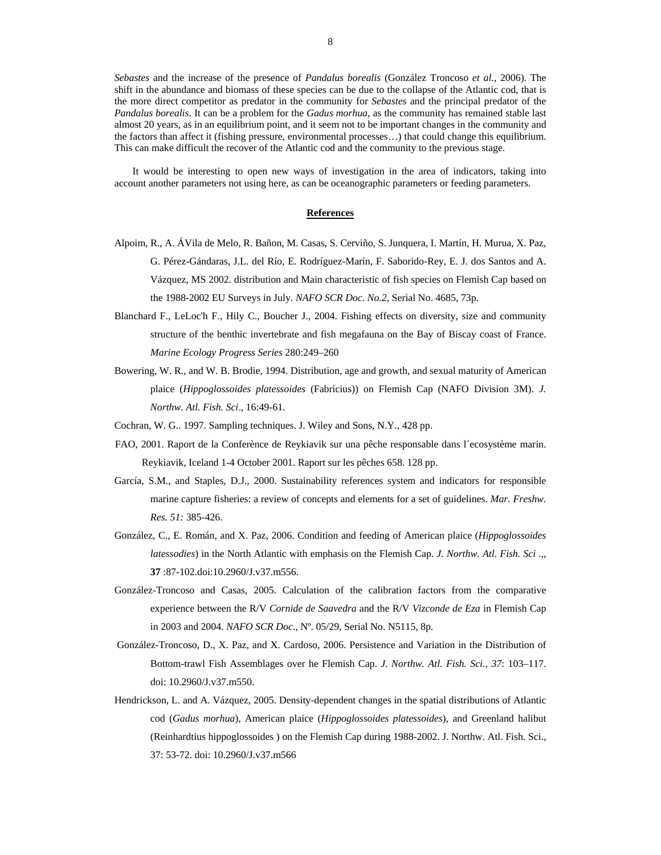*Sebastes* and the increase of the presence of *Pandalus borealis* (González Troncoso *et al.*, 2006). The shift in the abundance and biomass of these species can be due to the collapse of the Atlantic cod, that is the more direct competitor as predator in the community for *Sebastes* and the principal predator of the *Pandalus borealis*. It can be a problem for the *Gadus morhua*, as the community has remained stable last almost 20 years, as in an equilibrium point, and it seem not to be important changes in the community and the factors than affect it (fishing pressure, environmental processes…) that could change this equilibrium. This can make difficult the recover of the Atlantic cod and the community to the previous stage.

It would be interesting to open new ways of investigation in the area of indicators, taking into account another parameters not using here, as can be oceanographic parameters or feeding parameters.

#### **References**

- Alpoim, R., A. ÁVila de Melo, R. Bañon, M. Casas, S. Cerviño, S. Junquera, I. Martín, H. Murua, X. Paz, G. Pérez-Gándaras, J.L. del Río, E. Rodríguez-Marín, F. Saborido-Rey, E. J. dos Santos and A. Vázquez, MS 2002. distribution and Main characteristic of fish species on Flemish Cap based on the 1988-2002 EU Surveys in July. *NAFO SCR Doc. No.2*, Serial No. 4685, 73p.
- Blanchard F., LeLoc'h F., Hily C., Boucher J., 2004. Fishing effects on diversity, size and community structure of the benthic invertebrate and fish megafauna on the Bay of Biscay coast of France. *Marine Ecology Progress Series* 280:249–260
- Bowering, W. R., and W. B. Brodie, 1994. Distribution, age and growth, and sexual maturity of American plaice (*Hippoglossoides platessoides* (Fabricius)) on Flemish Cap (NAFO Division 3M). *J. Northw. Atl. Fish. Sci*., 16:49-61.
- Cochran, W. G.. 1997. Sampling techniques. J. Wiley and Sons, N.Y., 428 pp.
- FAO, 2001. Raport de la Conferènce de Reykiavik sur una pêche responsable dans l´ecosystème marin. Reykiavik, Iceland 1-4 October 2001. Raport sur les pêches 658. 128 pp.
- García, S.M., and Staples, D.J., 2000. Sustainability references system and indicators for responsible marine capture fisheries: a review of concepts and elements for a set of guidelines. *Mar. Freshw. Res. 51:* 385-426.
- González, C., E. Román, and X. Paz, 2006. Condition and feeding of American plaice (*Hippoglossoides latessodies*) in the North Atlantic with emphasis on the Flemish Cap. *J. Northw. Atl. Fish. Sci* .,, **37** :87-102.doi:10.2960/J.v37.m556.
- González-Troncoso and Casas, 2005. Calculation of the calibration factors from the comparative experience between the R/V *Cornide de Saavedra* and the R/V *Vizconde de Eza* in Flemish Cap in 2003 and 2004. *NAFO SCR Doc*., Nº. 05/29, Serial No. N5115, 8p.
- González-Troncoso, D., X. Paz, and X. Cardoso, 2006. Persistence and Variation in the Distribution of Bottom-trawl Fish Assemblages over he Flemish Cap. *J. Northw. Atl. Fish. Sci.*, *37*: 103–117. doi: 10.2960/J.v37.m550.
- Hendrickson, L. and A. Vázquez, 2005. Density-dependent changes in the spatial distributions of Atlantic cod (*Gadus morhua*), American plaice (*Hippoglossoides platessoides*), and Greenland halibut (Reinhardtius hippoglossoides ) on the Flemish Cap during 1988-2002. J. Northw. Atl. Fish. Sci., 37: 53-72. doi: 10.2960/J.v37.m566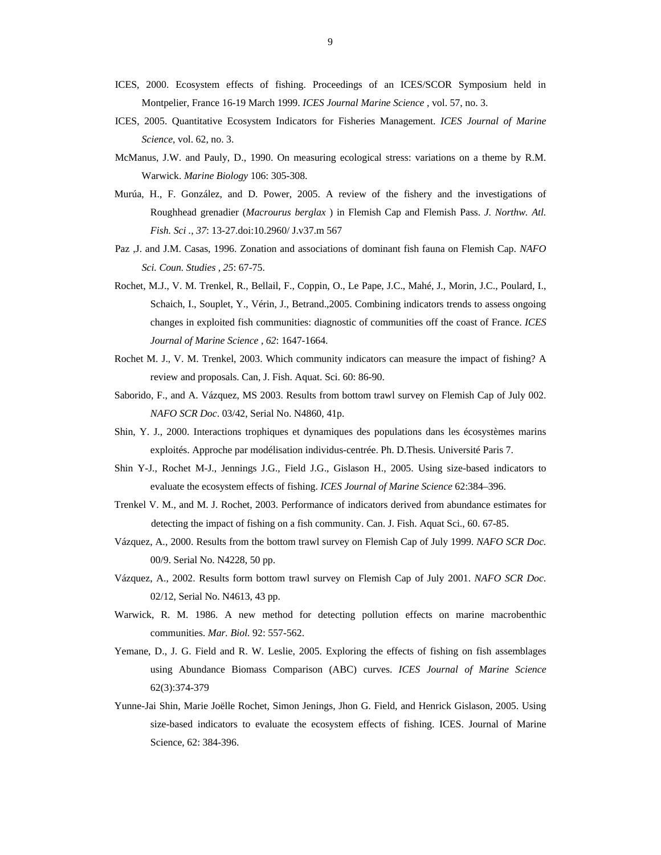- ICES, 2000. Ecosystem effects of fishing. Proceedings of an ICES/SCOR Symposium held in Montpelier, France 16-19 March 1999. *ICES Journal Marine Science* , vol. 57, no. 3.
- ICES, 2005. Quantitative Ecosystem Indicators for Fisheries Management. *ICES Journal of Marine Science*, vol. 62, no. 3.
- McManus, J.W. and Pauly, D., 1990. On measuring ecological stress: variations on a theme by R.M. Warwick. *Marine Biology* 106: 305-308.
- Murúa, H., F. González, and D. Power, 2005. A review of the fishery and the investigations of Roughhead grenadier (*Macrourus berglax* ) in Flemish Cap and Flemish Pass. *J. Northw. Atl. Fish. Sci ., 37*: 13-27.doi:10.2960/ J.v37.m 567
- Paz ,J. and J.M. Casas, 1996. Zonation and associations of dominant fish fauna on Flemish Cap. *NAFO Sci. Coun. Studies , 25*: 67-75.
- Rochet, M.J., V. M. Trenkel, R., Bellail, F., Coppin, O., Le Pape, J.C., Mahé, J., Morin, J.C., Poulard, I., Schaich, I., Souplet, Y., Vérin, J., Betrand.,2005. Combining indicators trends to assess ongoing changes in exploited fish communities: diagnostic of communities off the coast of France. *ICES Journal of Marine Science , 62*: 1647-1664.
- Rochet M. J., V. M. Trenkel, 2003. Which community indicators can measure the impact of fishing? A review and proposals. Can, J. Fish. Aquat. Sci. 60: 86-90.
- Saborido, F., and A. Vázquez, MS 2003. Results from bottom trawl survey on Flemish Cap of July 002. *NAFO SCR Doc*. 03/42, Serial No. N4860, 41p.
- Shin, Y. J., 2000. Interactions trophiques et dynamiques des populations dans les écosystèmes marins exploités. Approche par modélisation individus-centrée. Ph. D.Thesis. Université Paris 7.
- Shin Y-J., Rochet M-J., Jennings J.G., Field J.G., Gislason H., 2005. Using size-based indicators to evaluate the ecosystem effects of fishing. *ICES Journal of Marine Science* 62:384–396.
- Trenkel V. M., and M. J. Rochet, 2003. Performance of indicators derived from abundance estimates for detecting the impact of fishing on a fish community. Can. J. Fish. Aquat Sci., 60. 67-85.
- Vázquez, A., 2000. Results from the bottom trawl survey on Flemish Cap of July 1999. *NAFO SCR Doc.* 00/9. Serial No. N4228, 50 pp.
- Vázquez, A., 2002. Results form bottom trawl survey on Flemish Cap of July 2001. *NAFO SCR Doc*. 02/12, Serial No. N4613, 43 pp.
- Warwick, R. M. 1986. A new method for detecting pollution effects on marine macrobenthic communities. *Mar. Biol.* 92: 557-562.
- Yemane, D., J. G. Field and R. W. Leslie, 2005. Exploring the effects of fishing on fish assemblages using Abundance Biomass Comparison (ABC) curves. *ICES Journal of Marine Science* 62(3):374-379
- Yunne-Jai Shin, Marie Joëlle Rochet, Simon Jenings, Jhon G. Field, and Henrick Gislason, 2005. Using size-based indicators to evaluate the ecosystem effects of fishing. ICES. Journal of Marine Science, 62: 384-396.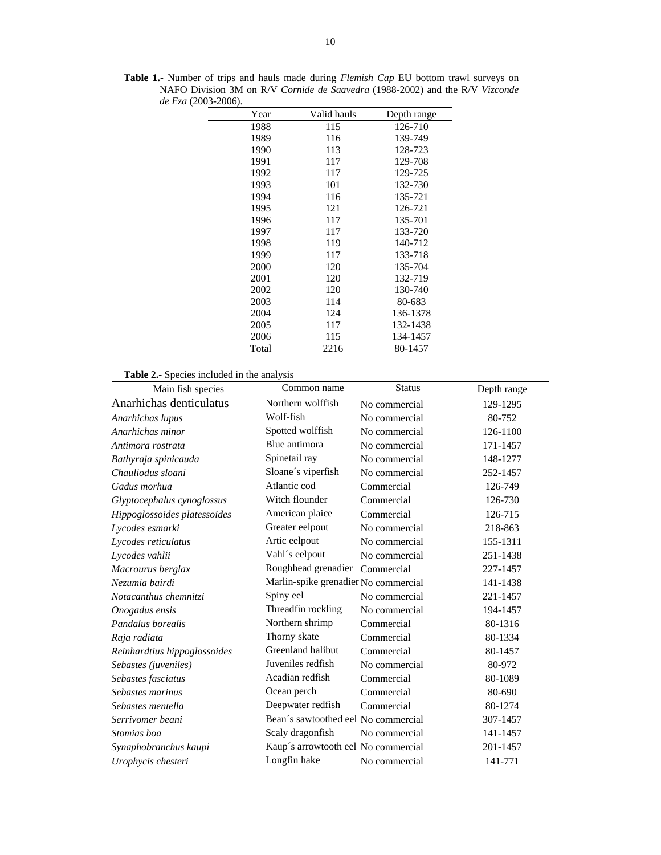| Year  | Valid hauls | Depth range |
|-------|-------------|-------------|
| 1988  | 115         | 126-710     |
| 1989  | 116         | 139-749     |
| 1990  | 113         | 128-723     |
| 1991  | 117         | 129-708     |
| 1992  | 117         | 129-725     |
| 1993  | 101         | 132-730     |
| 1994  | 116         | 135-721     |
| 1995  | 121         | 126-721     |
| 1996  | 117         | 135-701     |
| 1997  | 117         | 133-720     |
| 1998  | 119         | 140-712     |
| 1999  | 117         | 133-718     |
| 2000  | 120         | 135-704     |
| 2001  | 120         | 132-719     |
| 2002  | 120         | 130-740     |
| 2003  | 114         | 80-683      |
| 2004  | 124         | 136-1378    |
| 2005  | 117         | 132-1438    |
| 2006  | 115         | 134-1457    |
| Total | 2216        | 80-1457     |

**Table 1.-** Number of trips and hauls made during *Flemish Cap* EU bottom trawl surveys on NAFO Division 3M on R/V *Cornide de Saavedra* (1988-2002) and the R/V *Vizconde de Eza* (2003-2006).

**Table 2.-** Species included in the analysis

| Main fish species            | Common name                          | <b>Status</b> | Depth range |
|------------------------------|--------------------------------------|---------------|-------------|
| Anarhichas denticulatus      | Northern wolffish                    | No commercial | 129-1295    |
| Anarhichas lupus             | Wolf-fish                            | No commercial | 80-752      |
| Anarhichas minor             | Spotted wolffish                     | No commercial | 126-1100    |
| Antimora rostrata            | Blue antimora                        | No commercial | 171-1457    |
| Bathyraja spinicauda         | Spinetail ray                        | No commercial | 148-1277    |
| Chauliodus sloani            | Sloane's viperfish                   | No commercial | 252-1457    |
| Gadus morhua                 | Atlantic cod                         | Commercial    | 126-749     |
| Glyptocephalus cynoglossus   | Witch flounder                       | Commercial    | 126-730     |
| Hippoglossoides platessoides | American plaice                      | Commercial    | 126-715     |
| Lycodes esmarki              | Greater eelpout                      | No commercial | 218-863     |
| Lycodes reticulatus          | Artic eelpout                        | No commercial | 155-1311    |
| Lycodes vahlii               | Vahl's eelpout                       | No commercial | 251-1438    |
| Macrourus berglax            | Roughhead grenadier                  | Commercial    | 227-1457    |
| Nezumia bairdi               | Marlin-spike grenadier No commercial |               | 141-1438    |
| Notacanthus chemnitzi        | Spiny eel                            | No commercial | 221-1457    |
| Onogadus ensis               | Threadfin rockling                   | No commercial | 194-1457    |
| Pandalus borealis            | Northern shrimp                      | Commercial    | 80-1316     |
| Raja radiata                 | Thorny skate                         | Commercial    | 80-1334     |
| Reinhardtius hippoglossoides | Greenland halibut                    | Commercial    | 80-1457     |
| Sebastes (juveniles)         | Juveniles redfish                    | No commercial | 80-972      |
| Sebastes fasciatus           | Acadian redfish                      | Commercial    | 80-1089     |
| Sebastes marinus             | Ocean perch                          | Commercial    | 80-690      |
| Sebastes mentella            | Deepwater redfish                    | Commercial    | 80-1274     |
| Serrivomer beani             | Bean's sawtoothed eel No commercial  |               | 307-1457    |
| Stomias boa                  | Scaly dragonfish                     | No commercial | 141-1457    |
| Synaphobranchus kaupi        | Kaup's arrowtooth eel No commercial  |               | 201-1457    |
| Urophycis chesteri           | Longfin hake                         | No commercial | 141-771     |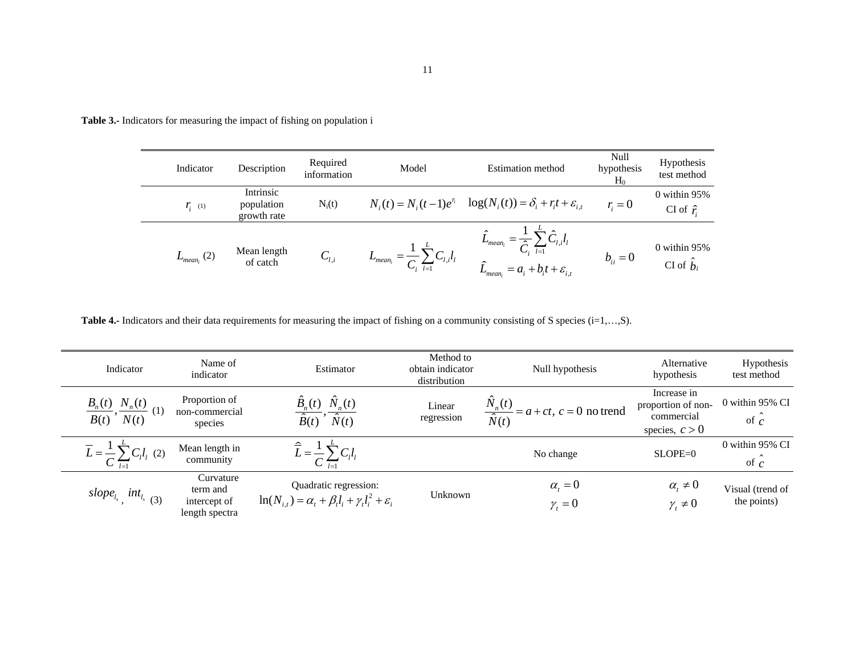**Table 3.-** Indicators for measuring the impact of fishing on population i

| Indicator            | Description                            | Required<br>information | Model                                  | <b>Estimation method</b>                                                | Null<br>hypothesis<br>$H_0$ | <b>Hypothesis</b><br>test method    |
|----------------------|----------------------------------------|-------------------------|----------------------------------------|-------------------------------------------------------------------------|-----------------------------|-------------------------------------|
| $\mathbf{r}_{i}$ (1) | Intrinsic<br>population<br>growth rate | $N_i(t)$                | $N_i(t) = N_i(t-1)e^{r_i}$             | $\log(N_i(t)) = \delta_i + r_i t + \varepsilon_{i,t}$                   | $r = 0$                     | $0$ within 95%<br>CI of $\hat{r}$ . |
| $L_{mean_i}$ (2)     | Mean length<br>of catch                | $C_{l,i}$               | $L_{mean_i}$<br>$C_i$ $\overline{I=1}$ | $\rightarrow$ <sub>mean</sub><br>$=a_i+b_it+\varepsilon_{i,t}$<br>mean, | $b_{ii} = 0$                | $0$ within 95%<br>CI of $b_i$       |

Table 4.- Indicators and their data requirements for measuring the impact of fishing on a community consisting of S species (i=1,...,S).

| Indicator                                                        | Name of<br>indicator                                    | Estimator                                                                                         | Method to<br>obtain indicator<br>distribution | Null hypothesis                                            | Alternative<br>hypothesis                                           | Hypothesis<br>test method       |
|------------------------------------------------------------------|---------------------------------------------------------|---------------------------------------------------------------------------------------------------|-----------------------------------------------|------------------------------------------------------------|---------------------------------------------------------------------|---------------------------------|
| $\frac{B_n(t)}{B(t)}, \frac{N_n(t)}{N(t)}$<br>(1)                | Proportion of<br>non-commercial<br>species              | $\hat{B}_n(t)$ $\hat{N}_n(t)$<br>$\overline{\hat{B}(t)}$ , $\overline{\hat{N}(t)}$                | Linear<br>regression                          | $\frac{\hat{N}_n(t)}{\hat{N}(t)} = a + ct, c = 0$ no trend | Increase in<br>proportion of non-<br>commercial<br>species, $c > 0$ | 0 within 95% CI<br>of $c$       |
| $\overline{L} = \frac{1}{C} \sum_{l=1}^{C} C_l l_l$ (2)          | Mean length in<br>community                             |                                                                                                   |                                               | No change                                                  | $SLOPE=0$                                                           | 0 within 95% CI<br>of $c$       |
| slope <sub>l<sub>s</sub></sub> , int <sub>l<sub>s</sub>(3)</sub> | Curvature<br>term and<br>intercept of<br>length spectra | Quadratic regression:<br>$\ln(N_{i,t}) = \alpha_t + \beta_t l_i + \gamma_t l_i^2 + \varepsilon_i$ | Unknown                                       | $\alpha_{i}=0$<br>$\gamma_t = 0$                           | $\alpha_{i} \neq 0$<br>$\gamma_t \neq 0$                            | Visual (trend of<br>the points) |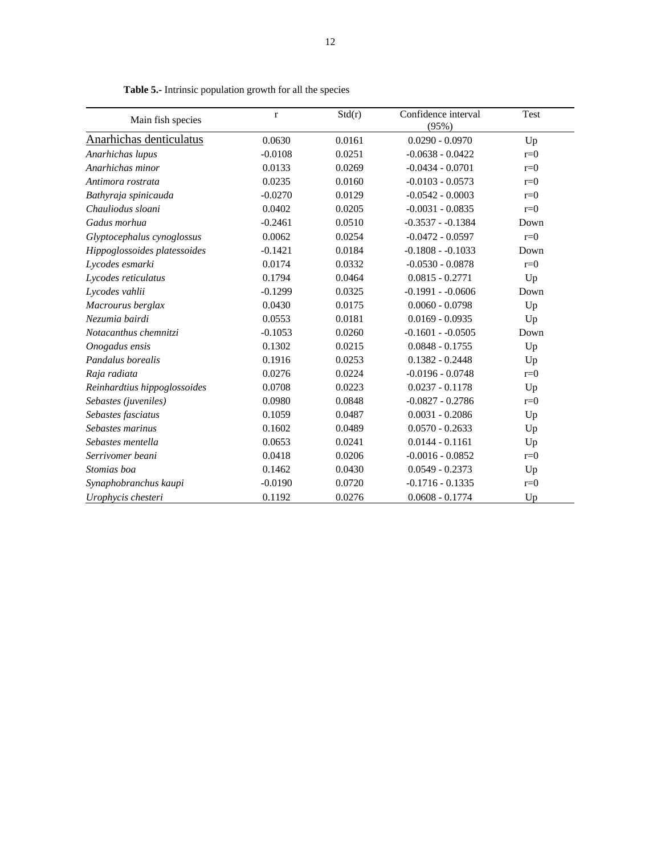| Main fish species            | $\bf r$   | Std(r) | Confidence interval<br>(95%) | Test  |
|------------------------------|-----------|--------|------------------------------|-------|
| Anarhichas denticulatus      | 0.0630    | 0.0161 | $0.0290 - 0.0970$            | Up    |
| Anarhichas lupus             | $-0.0108$ | 0.0251 | $-0.0638 - 0.0422$           | $r=0$ |
| Anarhichas minor             | 0.0133    | 0.0269 | $-0.0434 - 0.0701$           | $r=0$ |
| Antimora rostrata            | 0.0235    | 0.0160 | $-0.0103 - 0.0573$           | $r=0$ |
| Bathyraja spinicauda         | $-0.0270$ | 0.0129 | $-0.0542 - 0.0003$           | $r=0$ |
| Chauliodus sloani            | 0.0402    | 0.0205 | $-0.0031 - 0.0835$           | $r=0$ |
| Gadus morhua                 | $-0.2461$ | 0.0510 | $-0.3537 - 0.1384$           | Down  |
| Glyptocephalus cynoglossus   | 0.0062    | 0.0254 | $-0.0472 - 0.0597$           | $r=0$ |
| Hippoglossoides platessoides | $-0.1421$ | 0.0184 | $-0.1808 - 0.1033$           | Down  |
| Lycodes esmarki              | 0.0174    | 0.0332 | $-0.0530 - 0.0878$           | $r=0$ |
| Lycodes reticulatus          | 0.1794    | 0.0464 | $0.0815 - 0.2771$            | Up    |
| Lycodes vahlii               | $-0.1299$ | 0.0325 | $-0.1991 - 0.0606$           | Down  |
| Macrourus berglax            | 0.0430    | 0.0175 | $0.0060 - 0.0798$            | Up    |
| Nezumia bairdi               | 0.0553    | 0.0181 | $0.0169 - 0.0935$            | Up    |
| Notacanthus chemnitzi        | $-0.1053$ | 0.0260 | $-0.1601 - -0.0505$          | Down  |
| Onogadus ensis               | 0.1302    | 0.0215 | $0.0848 - 0.1755$            | Up    |
| Pandalus borealis            | 0.1916    | 0.0253 | $0.1382 - 0.2448$            | Up    |
| Raja radiata                 | 0.0276    | 0.0224 | $-0.0196 - 0.0748$           | $r=0$ |
| Reinhardtius hippoglossoides | 0.0708    | 0.0223 | $0.0237 - 0.1178$            | Up    |
| Sebastes (juveniles)         | 0.0980    | 0.0848 | $-0.0827 - 0.2786$           | $r=0$ |
| Sebastes fasciatus           | 0.1059    | 0.0487 | $0.0031 - 0.2086$            | Up    |
| Sebastes marinus             | 0.1602    | 0.0489 | $0.0570 - 0.2633$            | Up    |
| Sebastes mentella            | 0.0653    | 0.0241 | $0.0144 - 0.1161$            | Up    |
| Serrivomer beani             | 0.0418    | 0.0206 | $-0.0016 - 0.0852$           | $r=0$ |
| Stomias boa                  | 0.1462    | 0.0430 | $0.0549 - 0.2373$            | Up    |
| Synaphobranchus kaupi        | $-0.0190$ | 0.0720 | $-0.1716 - 0.1335$           | $r=0$ |
| Urophycis chesteri           | 0.1192    | 0.0276 | $0.0608 - 0.1774$            | Up    |

**Table 5.-** Intrinsic population growth for all the species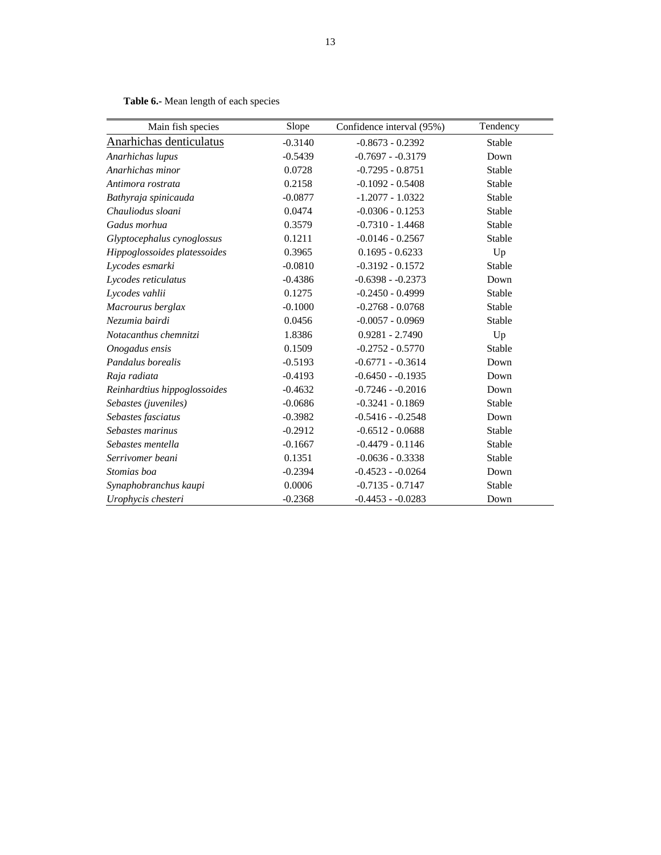| Main fish species            | Slope     | Confidence interval (95%) | Tendency |
|------------------------------|-----------|---------------------------|----------|
| Anarhichas denticulatus      | $-0.3140$ | $-0.8673 - 0.2392$        | Stable   |
| Anarhichas lupus             | $-0.5439$ | $-0.7697 - 0.3179$        | Down     |
| Anarhichas minor             | 0.0728    | $-0.7295 - 0.8751$        | Stable   |
| Antimora rostrata            | 0.2158    | $-0.1092 - 0.5408$        | Stable   |
| Bathyraja spinicauda         | $-0.0877$ | $-1.2077 - 1.0322$        | Stable   |
| Chauliodus sloani            | 0.0474    | $-0.0306 - 0.1253$        | Stable   |
| Gadus morhua                 | 0.3579    | $-0.7310 - 1.4468$        | Stable   |
| Glyptocephalus cynoglossus   | 0.1211    | $-0.0146 - 0.2567$        | Stable   |
| Hippoglossoides platessoides | 0.3965    | $0.1695 - 0.6233$         | Up       |
| Lycodes esmarki              | $-0.0810$ | $-0.3192 - 0.1572$        | Stable   |
| Lycodes reticulatus          | $-0.4386$ | $-0.6398 - 0.2373$        | Down     |
| Lycodes vahlii               | 0.1275    | $-0.2450 - 0.4999$        | Stable   |
| Macrourus berglax            | $-0.1000$ | $-0.2768 - 0.0768$        | Stable   |
| Nezumia bairdi               | 0.0456    | $-0.0057 - 0.0969$        | Stable   |
| Notacanthus chemnitzi        | 1.8386    | $0.9281 - 2.7490$         | Up       |
| Onogadus ensis               | 0.1509    | $-0.2752 - 0.5770$        | Stable   |
| Pandalus borealis            | $-0.5193$ | $-0.6771 - -0.3614$       | Down     |
| Raja radiata                 | $-0.4193$ | $-0.6450 - 0.1935$        | Down     |
| Reinhardtius hippoglossoides | $-0.4632$ | $-0.7246 - 0.2016$        | Down     |
| Sebastes (juveniles)         | $-0.0686$ | $-0.3241 - 0.1869$        | Stable   |
| Sebastes fasciatus           | $-0.3982$ | $-0.5416 - 0.2548$        | Down     |
| Sebastes marinus             | $-0.2912$ | $-0.6512 - 0.0688$        | Stable   |
| Sebastes mentella            | $-0.1667$ | $-0.4479 - 0.1146$        | Stable   |
| Serrivomer beani             | 0.1351    | $-0.0636 - 0.3338$        | Stable   |
| Stomias boa                  | $-0.2394$ | $-0.4523 - 0.0264$        | Down     |
| Synaphobranchus kaupi        | 0.0006    | $-0.7135 - 0.7147$        | Stable   |
| Urophycis chesteri           | $-0.2368$ | $-0.4453 - 0.0283$        | Down     |

**Table 6.-** Mean length of each species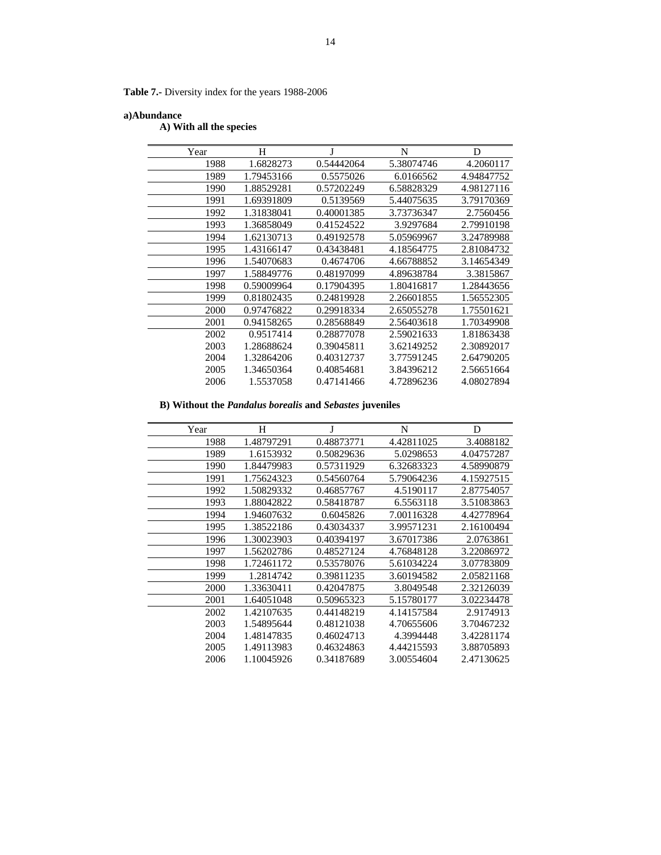**Table 7.-** Diversity index for the years 1988-2006

## **a)Abundance**

 **A) With all the species** 

| Year | Н          | J          | N          | D          |
|------|------------|------------|------------|------------|
| 1988 | 1.6828273  | 0.54442064 | 5.38074746 | 4.2060117  |
| 1989 | 1.79453166 | 0.5575026  | 6.0166562  | 4.94847752 |
| 1990 | 1.88529281 | 0.57202249 | 6.58828329 | 4.98127116 |
| 1991 | 1.69391809 | 0.5139569  | 5.44075635 | 3.79170369 |
| 1992 | 1.31838041 | 0.40001385 | 3.73736347 | 2.7560456  |
| 1993 | 1.36858049 | 0.41524522 | 3.9297684  | 2.79910198 |
| 1994 | 1.62130713 | 0.49192578 | 5.05969967 | 3.24789988 |
| 1995 | 1.43166147 | 0.43438481 | 4.18564775 | 2.81084732 |
| 1996 | 1.54070683 | 0.4674706  | 4.66788852 | 3.14654349 |
| 1997 | 1.58849776 | 0.48197099 | 4.89638784 | 3.3815867  |
| 1998 | 0.59009964 | 0.17904395 | 1.80416817 | 1.28443656 |
| 1999 | 0.81802435 | 0.24819928 | 2.26601855 | 1.56552305 |
| 2000 | 0.97476822 | 0.29918334 | 2.65055278 | 1.75501621 |
| 2001 | 0.94158265 | 0.28568849 | 2.56403618 | 1.70349908 |
| 2002 | 0.9517414  | 0.28877078 | 2.59021633 | 1.81863438 |
| 2003 | 1.28688624 | 0.39045811 | 3.62149252 | 2.30892017 |
| 2004 | 1.32864206 | 0.40312737 | 3.77591245 | 2.64790205 |
| 2005 | 1.34650364 | 0.40854681 | 3.84396212 | 2.56651664 |
| 2006 | 1.5537058  | 0.47141466 | 4.72896236 | 4.08027894 |

 **B) Without the** *Pandalus borealis* **and** *Sebastes* **juveniles** 

| Year | H          |            | N          | D          |
|------|------------|------------|------------|------------|
| 1988 | 1.48797291 | 0.48873771 | 4.42811025 | 3.4088182  |
| 1989 | 1.6153932  | 0.50829636 | 5.0298653  | 4.04757287 |
| 1990 | 1.84479983 | 0.57311929 | 6.32683323 | 4.58990879 |
| 1991 | 1.75624323 | 0.54560764 | 5.79064236 | 4.15927515 |
| 1992 | 1.50829332 | 0.46857767 | 4.5190117  | 2.87754057 |
| 1993 | 1.88042822 | 0.58418787 | 6.5563118  | 3.51083863 |
| 1994 | 1.94607632 | 0.6045826  | 7.00116328 | 4.42778964 |
| 1995 | 1.38522186 | 0.43034337 | 3.99571231 | 2.16100494 |
| 1996 | 1.30023903 | 0.40394197 | 3.67017386 | 2.0763861  |
| 1997 | 1.56202786 | 0.48527124 | 4.76848128 | 3.22086972 |
| 1998 | 1.72461172 | 0.53578076 | 5.61034224 | 3.07783809 |
| 1999 | 1.2814742  | 0.39811235 | 3.60194582 | 2.05821168 |
| 2000 | 1.33630411 | 0.42047875 | 3.8049548  | 2.32126039 |
| 2001 | 1.64051048 | 0.50965323 | 5.15780177 | 3.02234478 |
| 2002 | 1.42107635 | 0.44148219 | 4.14157584 | 2.9174913  |
| 2003 | 1.54895644 | 0.48121038 | 4.70655606 | 3.70467232 |
| 2004 | 1.48147835 | 0.46024713 | 4.3994448  | 3.42281174 |
| 2005 | 1.49113983 | 0.46324863 | 4.44215593 | 3.88705893 |
| 2006 | 1.10045926 | 0.34187689 | 3.00554604 | 2.47130625 |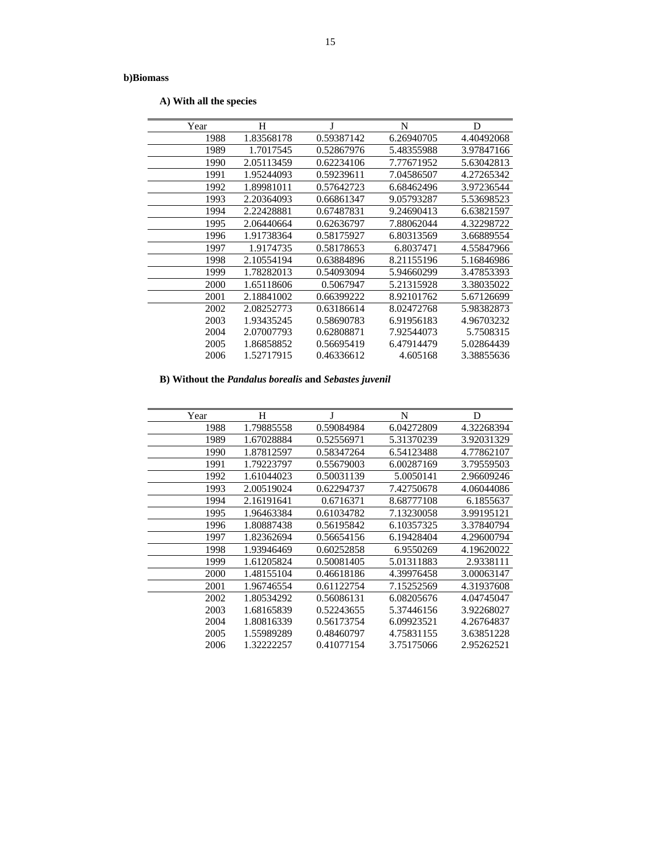**A) With all the species** 

| Year | H          | J          | N          | D          |
|------|------------|------------|------------|------------|
| 1988 | 1.83568178 | 0.59387142 | 6.26940705 | 4.40492068 |
| 1989 | 1.7017545  | 0.52867976 | 5.48355988 | 3.97847166 |
| 1990 | 2.05113459 | 0.62234106 | 7.77671952 | 5.63042813 |
| 1991 | 1.95244093 | 0.59239611 | 7.04586507 | 4.27265342 |
| 1992 | 1.89981011 | 0.57642723 | 6.68462496 | 3.97236544 |
| 1993 | 2.20364093 | 0.66861347 | 9.05793287 | 5.53698523 |
| 1994 | 2.22428881 | 0.67487831 | 9.24690413 | 6.63821597 |
| 1995 | 2.06440664 | 0.62636797 | 7.88062044 | 4.32298722 |
| 1996 | 1.91738364 | 0.58175927 | 6.80313569 | 3.66889554 |
| 1997 | 1.9174735  | 0.58178653 | 6.8037471  | 4.55847966 |
| 1998 | 2.10554194 | 0.63884896 | 8.21155196 | 5.16846986 |
| 1999 | 1.78282013 | 0.54093094 | 5.94660299 | 3.47853393 |
| 2000 | 1.65118606 | 0.5067947  | 5.21315928 | 3.38035022 |
| 2001 | 2.18841002 | 0.66399222 | 8.92101762 | 5.67126699 |
| 2002 | 2.08252773 | 0.63186614 | 8.02472768 | 5.98382873 |
| 2003 | 1.93435245 | 0.58690783 | 6.91956183 | 4.96703232 |
| 2004 | 2.07007793 | 0.62808871 | 7.92544073 | 5.7508315  |
| 2005 | 1.86858852 | 0.56695419 | 6.47914479 | 5.02864439 |
| 2006 | 1.52717915 | 0.46336612 | 4.605168   | 3.38855636 |

# **B) Without the** *Pandalus borealis* **and** *Sebastes juvenil*

| Year | H          | J          | N          | D          |
|------|------------|------------|------------|------------|
| 1988 | 1.79885558 | 0.59084984 | 6.04272809 | 4.32268394 |
| 1989 | 1.67028884 | 0.52556971 | 5.31370239 | 3.92031329 |
| 1990 | 1.87812597 | 0.58347264 | 6.54123488 | 4.77862107 |
| 1991 | 1.79223797 | 0.55679003 | 6.00287169 | 3.79559503 |
| 1992 | 1.61044023 | 0.50031139 | 5.0050141  | 2.96609246 |
| 1993 | 2.00519024 | 0.62294737 | 7.42750678 | 4.06044086 |
| 1994 | 2.16191641 | 0.6716371  | 8.68777108 | 6.1855637  |
| 1995 | 1.96463384 | 0.61034782 | 7.13230058 | 3.99195121 |
| 1996 | 1.80887438 | 0.56195842 | 6.10357325 | 3.37840794 |
| 1997 | 1.82362694 | 0.56654156 | 6.19428404 | 4.29600794 |
| 1998 | 1.93946469 | 0.60252858 | 6.9550269  | 4.19620022 |
| 1999 | 1.61205824 | 0.50081405 | 5.01311883 | 2.9338111  |
| 2000 | 1.48155104 | 0.46618186 | 4.39976458 | 3.00063147 |
| 2001 | 1.96746554 | 0.61122754 | 7.15252569 | 4.31937608 |
| 2002 | 1.80534292 | 0.56086131 | 6.08205676 | 4.04745047 |
| 2003 | 1.68165839 | 0.52243655 | 5.37446156 | 3.92268027 |
| 2004 | 1.80816339 | 0.56173754 | 6.09923521 | 4.26764837 |
| 2005 | 1.55989289 | 0.48460797 | 4.75831155 | 3.63851228 |
| 2006 | 1.32222257 | 0.41077154 | 3.75175066 | 2.95262521 |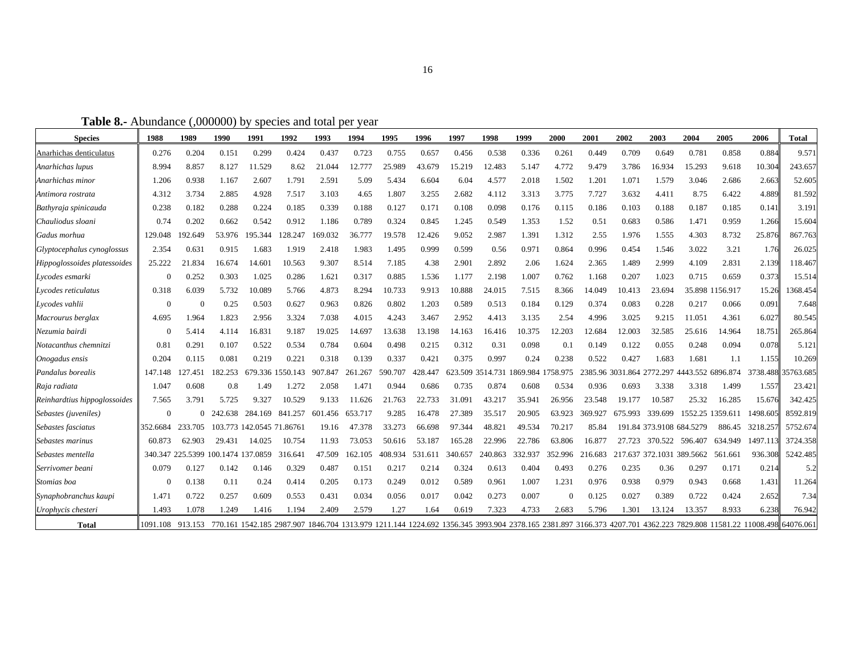**Table 8.-** Abundance (,000000) by species and total per year

| <b>Species</b>               | 1988       | 1989                               | 1990    | 1991                      | 1992             | 1993    | 1994    | 1995    | 1996    | 1997    | 1998                               | 1999    | 2000     | 2001    | 2002    | 2003    | 2004                                        | 2005             | 2006                                                                                                                                                               | <b>Total</b> |
|------------------------------|------------|------------------------------------|---------|---------------------------|------------------|---------|---------|---------|---------|---------|------------------------------------|---------|----------|---------|---------|---------|---------------------------------------------|------------------|--------------------------------------------------------------------------------------------------------------------------------------------------------------------|--------------|
| Anarhichas denticulatus      | 0.276      | 0.204                              | 0.151   | 0.299                     | 0.424            | 0.437   | 0.723   | 0.755   | 0.657   | 0.456   | 0.538                              | 0.336   | 0.261    | 0.449   | 0.709   | 0.649   | 0.781                                       | 0.858            | 0.884                                                                                                                                                              | 9.571        |
| Anarhichas lupus             | 8.994      | 8.857                              | 8.127   | 11.529                    | 8.62             | 21.044  | 12.777  | 25.989  | 43.679  | 15.219  | 12.483                             | 5.147   | 4.772    | 9.479   | 3.786   | 16.934  | 15.293                                      | 9.618            | 10.304                                                                                                                                                             | 243.657      |
| Anarhichas minor             | 1.206      | 0.938                              | 1.167   | 2.607                     | 1.791            | 2.591   | 5.09    | 5.434   | 6.604   | 6.04    | 4.577                              | 2.018   | 1.502    | 1.201   | 1.071   | 1.579   | 3.046                                       | 2.686            | 2.663                                                                                                                                                              | 52.605       |
| Antimora rostrata            | 4.312      | 3.734                              | 2.885   | 4.928                     | 7.517            | 3.103   | 4.65    | 1.807   | 3.255   | 2.682   | 4.112                              | 3.313   | 3.775    | 7.727   | 3.632   | 4.411   | 8.75                                        | 6.422            | 4.889                                                                                                                                                              | 81.592       |
| Bathyraja spinicauda         | 0.238      | 0.182                              | 0.288   | 0.224                     | 0.185            | 0.339   | 0.188   | 0.127   | 0.171   | 0.108   | 0.098                              | 0.176   | 0.115    | 0.186   | 0.103   | 0.188   | 0.187                                       | 0.185            | 0.141                                                                                                                                                              | 3.191        |
| Chauliodus sloani            | 0.74       | 0.202                              | 0.662   | 0.542                     | 0.912            | 1.186   | 0.789   | 0.324   | 0.845   | 1.245   | 0.549                              | 1.353   | 1.52     | 0.51    | 0.683   | 0.586   | 1.471                                       | 0.959            | 1.266                                                                                                                                                              | 15.604       |
| Gadus morhua                 | 129.048    | 192.649                            | 53.976  | 195.344                   | 128.247          | 169.032 | 36.777  | 19.578  | 12.426  | 9.052   | 2.987                              | 1.391   | 1.312    | 2.55    | 1.976   | 1.555   | 4.303                                       | 8.732            | 25.876                                                                                                                                                             | 867.763      |
| Glyptocephalus cynoglossus   | 2.354      | 0.631                              | 0.915   | 1.683                     | 1.919            | 2.418   | 1.983   | 1.495   | 0.999   | 0.599   | 0.56                               | 0.971   | 0.864    | 0.996   | 0.454   | 1.546   | 3.022                                       | 3.21             | 1.76                                                                                                                                                               | 26.025       |
| Hippoglossoides platessoides | 25.222     | 21.834                             | 16.674  | 14.601                    | 10.563           | 9.307   | 8.514   | 7.185   | 4.38    | 2.901   | 2.892                              | 2.06    | 1.624    | 2.365   | 1.489   | 2.999   | 4.109                                       | 2.831            | 2.139                                                                                                                                                              | 118.467      |
| Lycodes esmarki              | $\Omega$   | 0.252                              | 0.303   | 1.025                     | 0.286            | 1.621   | 0.317   | 0.885   | 1.536   | 1.177   | 2.198                              | 1.007   | 0.762    | 1.168   | 0.207   | 1.023   | 0.715                                       | 0.659            | 0.373                                                                                                                                                              | 15.514       |
| Lycodes reticulatus          | 0.318      | 6.039                              | 5.732   | 10.089                    | 5.766            | 4.873   | 8.294   | 10.733  | 9.913   | 10.888  | 24.015                             | 7.515   | 8.366    | 14.049  | 10.413  | 23.694  |                                             | 35.898 1156.917  | 15.26                                                                                                                                                              | 1368.454     |
| Lycodes vahlii               | $\sqrt{ }$ |                                    | 0.25    | 0.503                     | 0.627            | 0.963   | 0.826   | 0.802   | 1.203   | 0.589   | 0.513                              | 0.184   | 0.129    | 0.374   | 0.083   | 0.228   | 0.217                                       | 0.066            | 0.091                                                                                                                                                              | 7.648        |
| Macrourus berglax            | 4.695      | 1.964                              | 1.823   | 2.956                     | 3.324            | 7.038   | 4.015   | 4.243   | 3.467   | 2.952   | 4.413                              | 3.135   | 2.54     | 4.996   | 3.025   | 9.215   | 11.051                                      | 4.361            | 6.027                                                                                                                                                              | 80.545       |
| Nezumia bairdi               |            | 5.414                              | 4.114   | 16.831                    | 9.187            | 19.025  | 14.697  | 13.638  | 13.198  | 14.163  | 16.416                             | 10.375  | 12.203   | 12.684  | 12.003  | 32.585  | 25.616                                      | 14.964           | 18.751                                                                                                                                                             | 265.864      |
| Notacanthus chemnitzi        | 0.81       | 0.291                              | 0.107   | 0.522                     | 0.534            | 0.784   | 0.604   | 0.498   | 0.215   | 0.312   | 0.31                               | 0.098   | 0.1      | 0.149   | 0.122   | 0.055   | 0.248                                       | 0.094            | 0.078                                                                                                                                                              | 5.121        |
| Onogadus ensis               | 0.204      | 0.115                              | 0.081   | 0.219                     | 0.221            | 0.318   | 0.139   | 0.337   | 0.421   | 0.375   | 0.997                              | 0.24    | 0.238    | 0.522   | 0.427   | 1.683   | 1.681                                       | 1.1              | 1.155                                                                                                                                                              | 10.269       |
| Pandalus borealis            | 147.148    | 127.451                            | 182.253 |                           | 679.336 1550.143 | 907.847 | 261.267 | 590.707 | 428.447 |         | 623.509 3514.731 1869.984 1758.975 |         |          |         |         |         | 2385.96 3031.864 2772.297 4443.552 6896.874 |                  | 3738.488                                                                                                                                                           | 35763.685    |
| Raja radiata                 | 1.047      | 0.608                              | 0.8     | 1.49                      | 1.272            | 2.058   | 1.471   | 0.944   | 0.686   | 0.735   | 0.874                              | 0.608   | 0.534    | 0.936   | 0.693   | 3.338   | 3.318                                       | 1.499            | 1.557                                                                                                                                                              | 23.421       |
| Reinhardtius hippoglossoides | 7.565      | 3.791                              | 5.725   | 9.327                     | 10.529           | 9.133   | 11.626  | 21.763  | 22.733  | 31.091  | 43.217                             | 35.941  | 26.956   | 23.548  | 19.177  | 10.587  | 25.32                                       | 16.285           | 15.676                                                                                                                                                             | 342.425      |
| Sebastes (juveniles)         | $\Omega$   | 0                                  | 242.638 | 284.169                   | 841.257          | 601.456 | 653.717 | 9.285   | 16.478  | 27.389  | 35.517                             | 20.905  | 63.923   | 369.927 | 675.993 | 339.699 |                                             | 1552.25 1359.611 | 1498.605                                                                                                                                                           | 8592.819     |
| Sebastes fasciatus           | 352.6684   | 233.705                            |         | 103.773 142.0545 71.86761 |                  | 19.16   | 47.378  | 33.273  | 66.698  | 97.344  | 48.821                             | 49.534  | 70.217   | 85.84   |         |         | 191.84 373.9108 684.5279                    | 886.45           | 3218.257                                                                                                                                                           | 5752.674     |
| Sebastes marinus             | 60.873     | 62.903                             | 29.431  | 14.025                    | 10.754           | 11.93   | 73.053  | 50.616  | 53.187  | 165.28  | 22.996                             | 22.786  | 63.806   | 16.877  | 27.723  | 370.522 | 596.407                                     | 634.949          | 1497.113                                                                                                                                                           | 3724.358     |
| Sebastes mentella            |            | 340.347 225.5399 100.1474 137.0859 |         |                           | 316.641          | 47.509  | 162.105 | 408.934 | 531.611 | 340.657 | 240.863                            | 332.937 | 352.996  | 216.683 |         |         | 217.637 372.1031 389.5662                   | 561.661          | 936.308                                                                                                                                                            | 5242.485     |
| Serrivomer beani             | 0.079      | 0.127                              | 0.142   | 0.146                     | 0.329            | 0.487   | 0.151   | 0.217   | 0.214   | 0.324   | 0.613                              | 0.404   | 0.493    | 0.276   | 0.235   | 0.36    | 0.297                                       | 0.171            | 0.214                                                                                                                                                              | 5.2          |
| Stomias boa                  |            | 0.138                              | 0.11    | 0.24                      | 0.414            | 0.205   | 0.173   | 0.249   | 0.012   | 0.589   | 0.961                              | 1.007   | 1.231    | 0.976   | 0.938   | 0.979   | 0.943                                       | 0.668            | 1.431                                                                                                                                                              | 11.264       |
| Synaphobranchus kaupi        | 1.471      | 0.722                              | 0.257   | 0.609                     | 0.553            | 0.431   | 0.034   | 0.056   | 0.017   | 0.042   | 0.273                              | 0.007   | $\Omega$ | 0.125   | 0.027   | 0.389   | 0.722                                       | 0.424            | 2.652                                                                                                                                                              | 7.34         |
| Urophycis chesteri           | 1.493      | 1.078                              | 1.249   | 1.416                     | 1.194            | 2.409   | 2.579   | 1.27    | 1.64    | 0.619   | 7.323                              | 4.733   | 2.683    | 5.796   | 1.301   | 13.124  | 13.357                                      | 8.933            | 6.238                                                                                                                                                              | 76.942       |
| <b>Total</b>                 | 1091.108   | 913.153                            |         |                           |                  |         |         |         |         |         |                                    |         |          |         |         |         |                                             |                  | 770.161 1542.185 2987.907 1846.704 1313.979 1211.144 1224.692 1356.345 3993.904 2378.165 2381.897 3166.373 4207.701 4362.223 7829.808 11581.22 11008.498 64076.061 |              |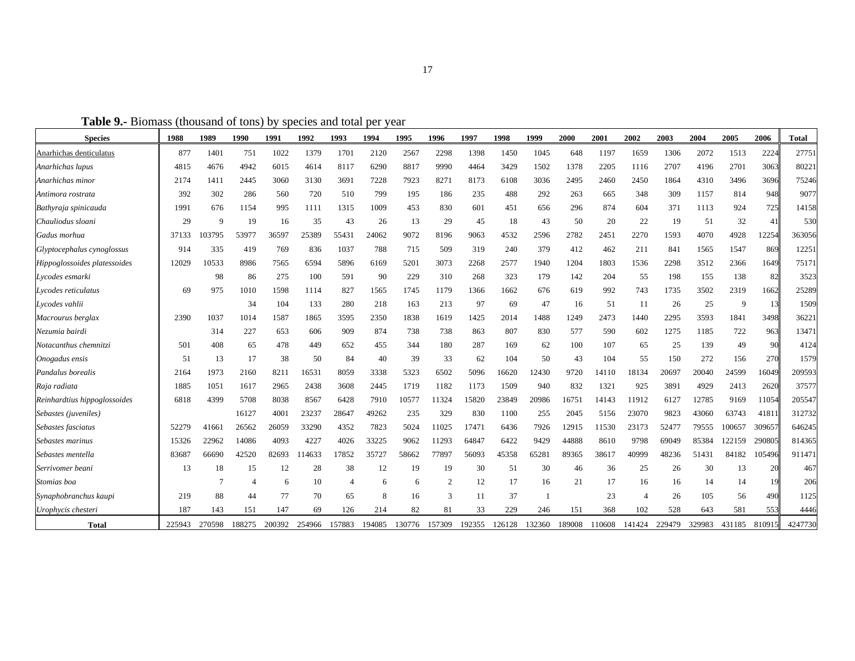**Table 9.-** Biomass (thousand of tons) by species and total per year

| <b>Species</b>               | 1988   | 1989        | 1990   | 1991   | 1992   | 1993           | 1994   | 1995   | 1996           | 1997   | 1998   | 1999   | 2000   | 2001   | 2002           | 2003   | 2004   | 2005     | 2006   | <b>Total</b> |
|------------------------------|--------|-------------|--------|--------|--------|----------------|--------|--------|----------------|--------|--------|--------|--------|--------|----------------|--------|--------|----------|--------|--------------|
| Anarhichas denticulatus      | 877    | 1401        | 751    | 1022   | 1379   | 1701           | 2120   | 2567   | 2298           | 1398   | 1450   | 1045   | 648    | 1197   | 1659           | 1306   | 2072   | 1513     | 2224   | 27751        |
| Anarhichas lupus             | 4815   | 4676        | 4942   | 6015   | 4614   | 8117           | 6290   | 8817   | 9990           | 4464   | 3429   | 1502   | 1378   | 2205   | 1116           | 2707   | 4196   | 2701     | 3063   | 80221        |
| Anarhichas minor             | 2174   | 1411        | 2445   | 3060   | 3130   | 3691           | 7228   | 7923   | 8271           | 8173   | 6108   | 3036   | 2495   | 2460   | 2450           | 1864   | 4310   | 3496     | 3696   | 75246        |
| Antimora rostrata            | 392    | 302         | 286    | 560    | 720    | 510            | 799    | 195    | 186            | 235    | 488    | 292    | 263    | 665    | 348            | 309    | 1157   | 814      | 948    | 9077         |
| Bathyraja spinicauda         | 1991   | 676         | 1154   | 995    | 1111   | 1315           | 1009   | 453    | 830            | 601    | 451    | 656    | 296    | 874    | 604            | 371    | 1113   | 924      | 725    | 14158        |
| Chauliodus sloani            | 29     | $\mathbf Q$ | 19     | 16     | 35     | 43             | 26     | 13     | 29             | 45     | 18     | 43     | 50     | 20     | 22             | 19     | 51     | 32       | 41     | 530          |
| Gadus morhua                 | 37133  | 03795       | 53977  | 36597  | 25389  | 55431          | 24062  | 9072   | 8196           | 9063   | 4532   | 2596   | 2782   | 2451   | 2270           | 1593   | 4070   | 4928     | 12254  | 363056       |
| Glyptocephalus cynoglossus   | 914    | 335         | 419    | 769    | 836    | 1037           | 788    | 715    | 509            | 319    | 240    | 379    | 412    | 462    | 211            | 841    | 1565   | 1547     | 869    | 12251        |
| Hippoglossoides platessoides | 12029  | 10533       | 8986   | 7565   | 6594   | 5896           | 6169   | 5201   | 3073           | 2268   | 2577   | 1940   | 1204   | 1803   | 1536           | 2298   | 3512   | 2366     | 1649   | 75171        |
| Lycodes esmarki              |        | 98          | 86     | 275    | 100    | 591            | 90     | 229    | 310            | 268    | 323    | 179    | 142    | 204    | 55             | 198    | 155    | 138      | 82     | 3523         |
| Lycodes reticulatus          | 69     | 975         | 1010   | 1598   | 1114   | 827            | 1565   | 1745   | 1179           | 1366   | 1662   | 676    | 619    | 992    | 743            | 1735   | 3502   | 2319     | 1662   | 25289        |
| Lycodes vahlii               |        |             | 34     | 104    | 133    | 280            | 218    | 163    | 213            | 97     | 69     | 47     | 16     | 51     | 11             | 26     | 25     | <b>g</b> | 13     | 1509         |
| Macrourus berglax            | 2390   | 1037        | 1014   | 1587   | 1865   | 3595           | 2350   | 1838   | 1619           | 1425   | 2014   | 1488   | 1249   | 2473   | 1440           | 2295   | 3593   | 1841     | 3498   | 36221        |
| Nezumia bairdi               |        | 314         | 227    | 653    | 606    | 909            | 874    | 738    | 738            | 863    | 807    | 830    | 577    | 590    | 602            | 1275   | 1185   | 722      | 963    | 13471        |
| Notacanthus chemnitzi        | 501    | 408         | 65     | 478    | 449    | 652            | 455    | 344    | 180            | 287    | 169    | 62     | 100    | 107    | 65             | 25     | 139    | 49       | 90     | 4124         |
| Onogadus ensis               | 51     | 13          | 17     | 38     | 50     | 84             | 40     | 39     | 33             | 62     | 104    | 50     | 43     | 104    | 55             | 150    | 272    | 156      | 270    | 1579         |
| Pandalus borealis            | 2164   | 1973        | 2160   | 8211   | 16531  | 8059           | 3338   | 5323   | 6502           | 5096   | 16620  | 12430  | 9720   | 14110  | 18134          | 20697  | 20040  | 24599    | 16049  | 209593       |
| Raja radiata                 | 1885   | 1051        | 1617   | 2965   | 2438   | 3608           | 2445   | 1719   | 1182           | 1173   | 1509   | 940    | 832    | 1321   | 925            | 3891   | 4929   | 2413     | 2620   | 37577        |
| Reinhardtius hippoglossoides | 6818   | 4399        | 5708   | 8038   | 8567   | 6428           | 7910   | 10577  | 11324          | 15820  | 23849  | 20986  | 16751  | 14143  | 11912          | 6127   | 12785  | 9169     | 11054  | 205547       |
| Sebastes (juveniles)         |        |             | 16127  | 4001   | 23237  | 28647          | 49262  | 235    | 329            | 830    | 1100   | 255    | 2045   | 5156   | 23070          | 9823   | 43060  | 63743    | 41811  | 312732       |
| Sebastes fasciatus           | 52279  | 41661       | 26562  | 26059  | 33290  | 4352           | 7823   | 5024   | 11025          | 17471  | 6436   | 7926   | 12915  | 11530  | 23173          | 52477  | 79555  | 100657   | 309657 | 646245       |
| Sebastes marinus             | 15326  | 22962       | 14086  | 4093   | 4227   | 4026           | 33225  | 9062   | 11293          | 64847  | 6422   | 9429   | 44888  | 8610   | 9798           | 69049  | 85384  | 122159   | 290805 | 814365       |
| Sebastes mentella            | 83687  | 66690       | 42520  | 82693  | 14633  | 17852          | 35727  | 58662  | 77897          | 56093  | 45358  | 65281  | 89365  | 38617  | 40999          | 48236  | 51431  | 84182    | 105496 | 911471       |
| Serrivomer beani             | 13     | 18          | 15     | 12     | 28     | 38             | 12     | 19     | 19             | 30     | 51     | 30     | 46     | 36     | 25             | 26     | 30     | 13       | 20     | 467          |
| Stomias boa                  |        |             |        | 6      | 10     | $\overline{4}$ | 6      | 6      | $\overline{2}$ | 12     | 17     | 16     | 21     | 17     | 16             | 16     | 14     | 14       | 19     | 206          |
| Synaphobranchus kaupi        | 219    | 88          | 44     | 77     | 70     | 65             | 8      | 16     | 3              | 11     | 37     |        |        | 23     | $\overline{4}$ | 26     | 105    | 56       | 490    | 1125         |
| Urophycis chesteri           | 187    | 143         | 151    | 147    | 69     | 126            | 214    | 82     | 81             | 33     | 229    | 246    | 151    | 368    | 102            | 528    | 643    | 581      | 553    | 4446         |
| Total                        | 225943 | 270598      | 188275 | 200392 | 254966 | 157883         | 194085 | 130776 | 157309         | 192355 | 126128 | 132360 | 189008 | 110608 | 141424         | 229479 | 329983 | 431185   | 810915 | 4247730      |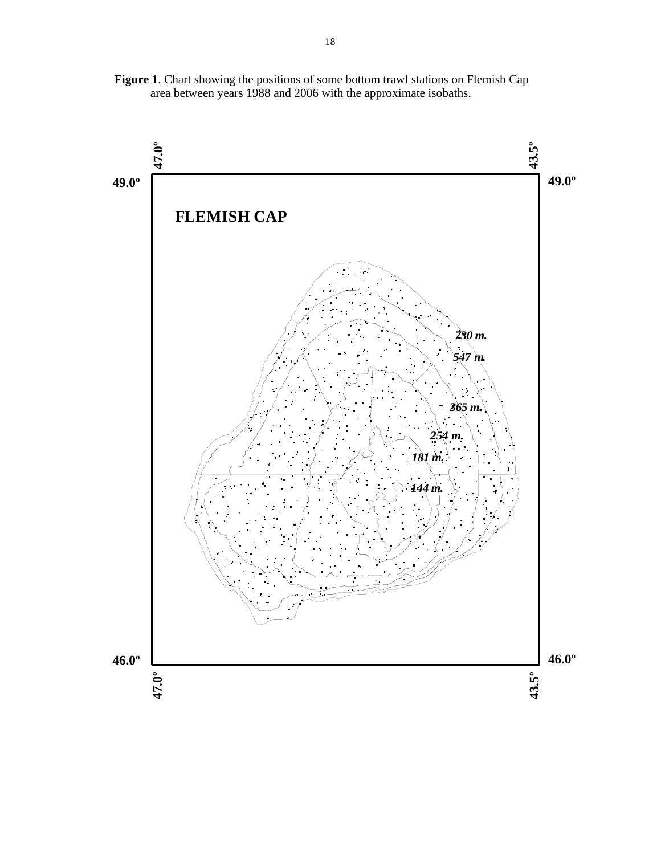**Figure 1**. Chart showing the positions of some bottom trawl stations on Flemish Cap area between years 1988 and 2006 with the approximate isobaths.

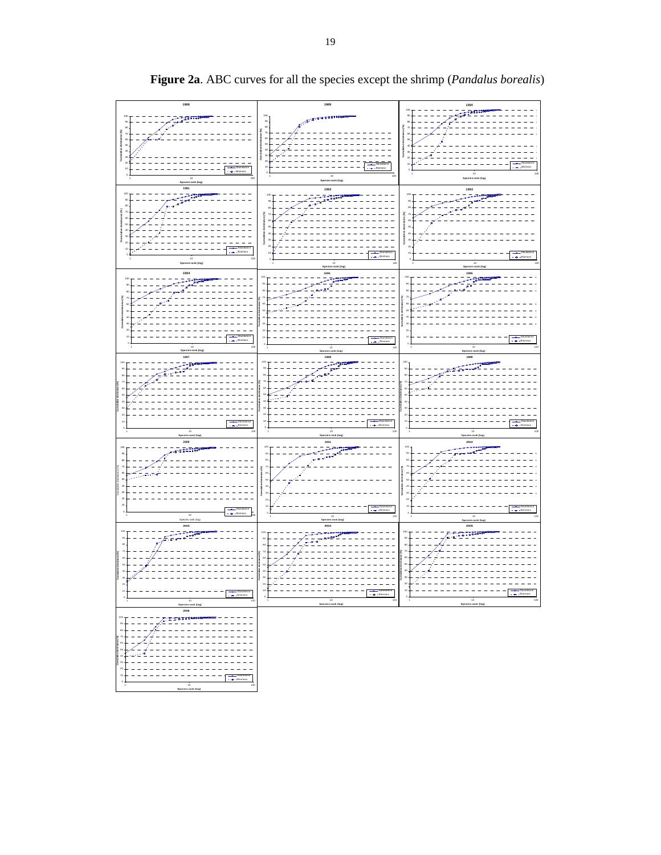

**Figure 2a**. ABC curves for all the species except the shrimp (*Pandalus borealis*)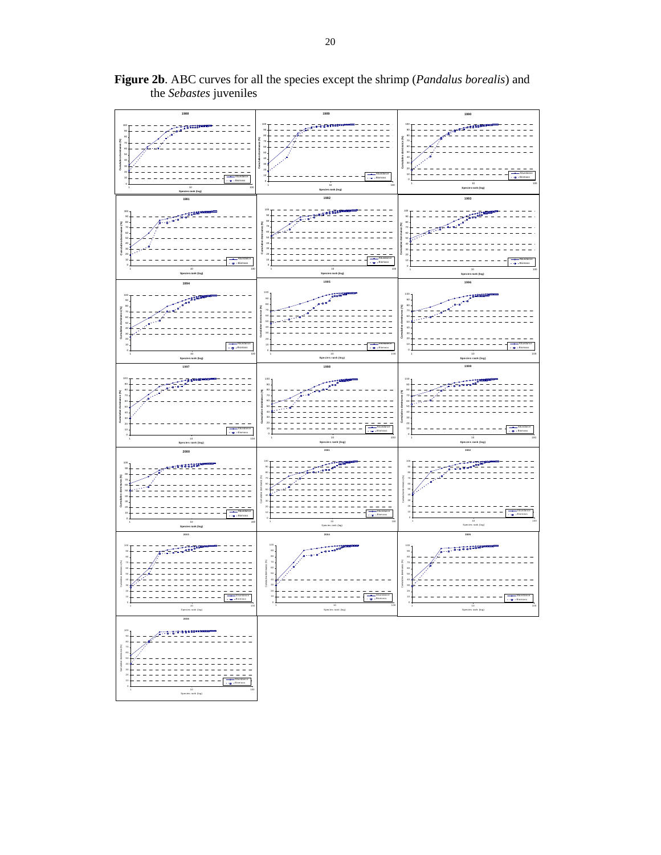

**Figure 2b**. ABC curves for all the species except the shrimp (*Pandalus borealis*) and the *Sebastes* juveniles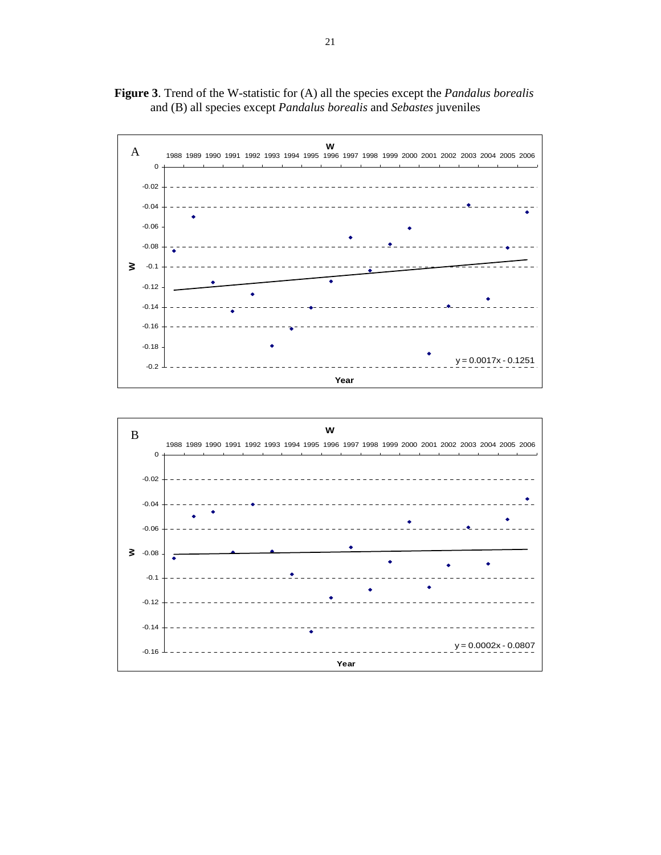



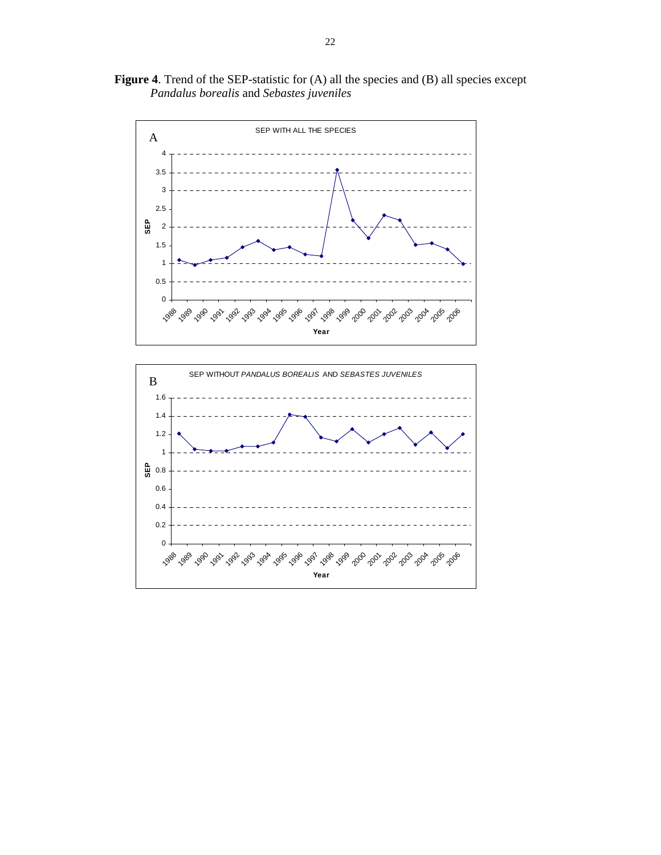**Figure 4**. Trend of the SEP-statistic for (A) all the species and (B) all species except *Pandalus borealis* and *Sebastes juveniles*



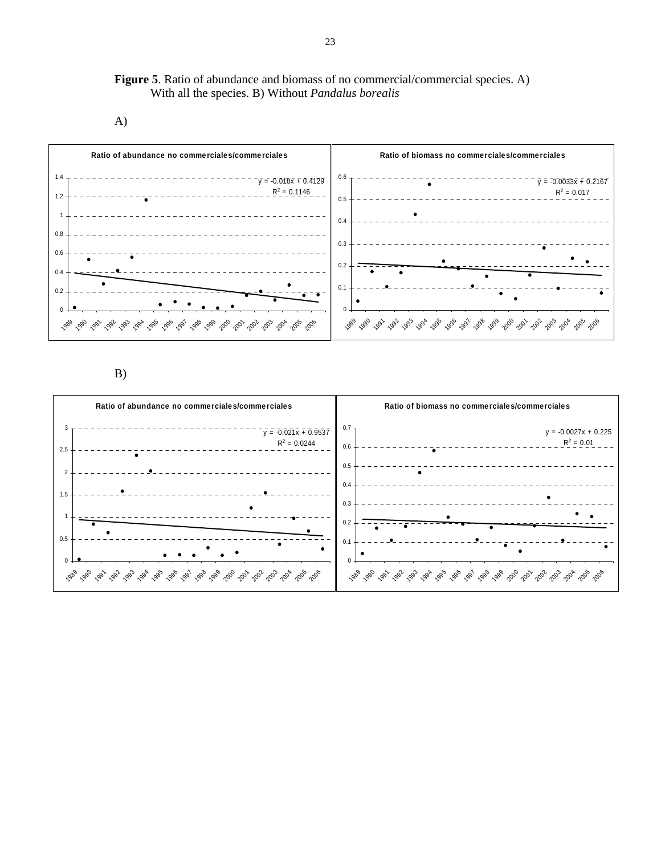**Figure 5**. Ratio of abundance and biomass of no commercial/commercial species. A) With all the species. B) Without *Pandalus borealis*

A)



B)

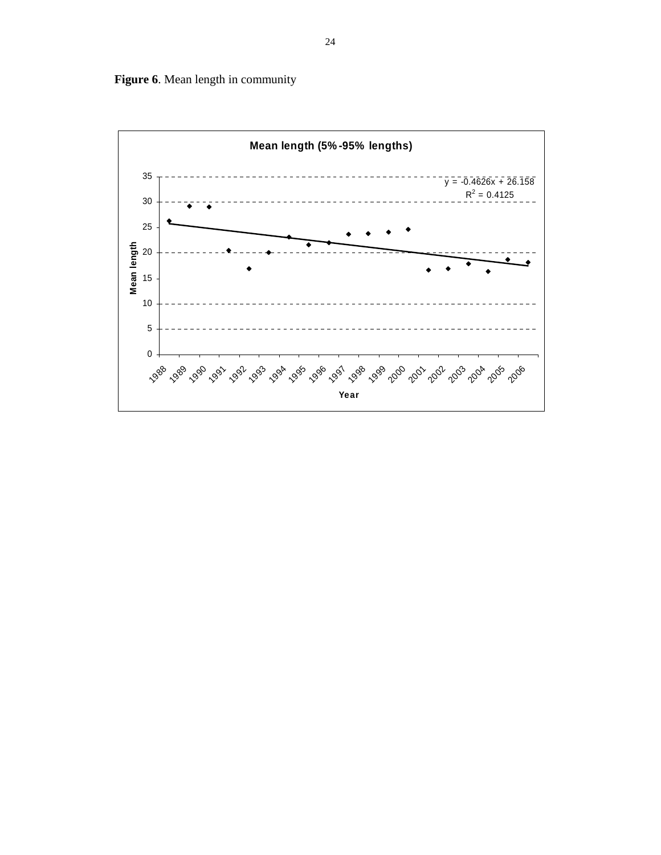

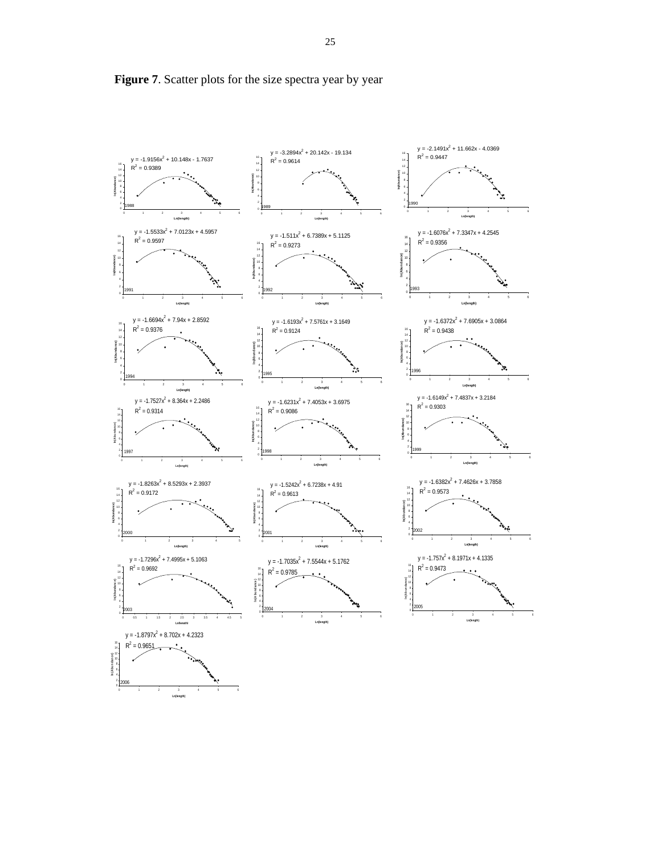

**Figure 7**. Scatter plots for the size spectra year by year